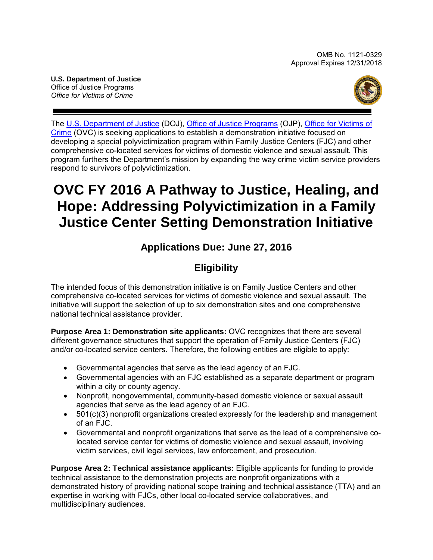**U.S. Department of Justice** Office of Justice Programs *Office for Victims of Crime*



The [U.S. Department of Justice](http://www.usdoj.gov/) (DOJ), [Office of Justice Programs](http://www.ojp.usdoj.gov/) (OJP), [Office for Victims of](http://www.ovc.gov/)  [Crime](http://www.ovc.gov/) (OVC) is seeking applications to establish a demonstration initiative focused on developing a special polyvictimization program within Family Justice Centers (FJC) and other comprehensive co-located services for victims of domestic violence and sexual assault. This program furthers the Department's mission by expanding the way crime victim service providers respond to survivors of polyvictimization.

# **OVC FY 2016 A Pathway to Justice, Healing, and Hope: Addressing Polyvictimization in a Family Justice Center Setting Demonstration Initiative**

## **Applications Due: June 27, 2016**

## **Eligibility**

The intended focus of this demonstration initiative is on Family Justice Centers and other comprehensive co-located services for victims of domestic violence and sexual assault. The initiative will support the selection of up to six demonstration sites and one comprehensive national technical assistance provider.

**Purpose Area 1: Demonstration site applicants:** OVC recognizes that there are several different governance structures that support the operation of Family Justice Centers (FJC) and/or co-located service centers. Therefore, the following entities are eligible to apply:

- Governmental agencies that serve as the lead agency of an FJC.
- Governmental agencies with an FJC established as a separate department or program within a city or county agency.
- Nonprofit, nongovernmental, community-based domestic violence or sexual assault agencies that serve as the lead agency of an FJC.
- 501(c)(3) nonprofit organizations created expressly for the leadership and management of an FJC.
- Governmental and nonprofit organizations that serve as the lead of a comprehensive colocated service center for victims of domestic violence and sexual assault, involving victim services, civil legal services, law enforcement, and prosecution.

**Purpose Area 2: Technical assistance applicants:** Eligible applicants for funding to provide technical assistance to the demonstration projects are nonprofit organizations with a demonstrated history of providing national scope training and technical assistance (TTA) and an expertise in working with FJCs, other local co-located service collaboratives, and multidisciplinary audiences.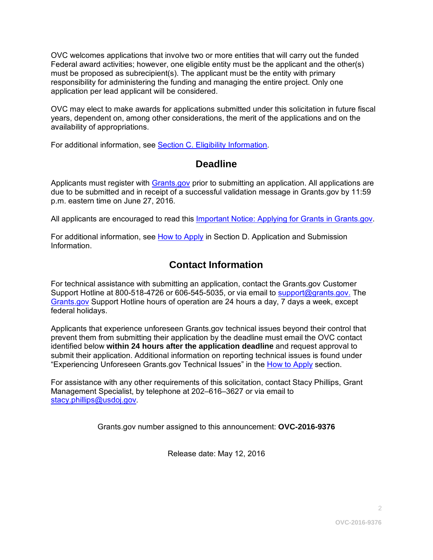OVC welcomes applications that involve two or more entities that will carry out the funded Federal award activities; however, one eligible entity must be the applicant and the other(s) must be proposed as subrecipient(s). The applicant must be the entity with primary responsibility for administering the funding and managing the entire project. Only one application per lead applicant will be considered.

OVC may elect to make awards for applications submitted under this solicitation in future fiscal years, dependent on, among other considerations, the merit of the applications and on the availability of appropriations.

For additional information, see [Section C. Eligibility Information.](#page-10-0)

### **Deadline**

Applicants must register with [Grants.gov](http://www.grants.gov/web/grants/applicants/apply-for-grants.html) prior to submitting an application. All applications are due to be submitted and in receipt of a successful validation message in Grants.gov by 11:59 p.m. eastern time on June 27, 2016*.*

All applicants are encouraged to read this [Important Notice: Applying for Grants in Grants.gov.](http://ojp.gov/funding/Apply/Grants-govInfo.htm)

For additional information, see [How to Apply](#page-25-0) in Section [D. Application and Submission](#page-11-0)  [Information.](#page-11-0)

## **Contact Information**

For technical assistance with submitting an application, contact the Grants.gov Customer Support Hotline at 800-518-4726 or 606-545-5035, or via email to [support@grants.gov.](mailto:support@grants.gov) The [Grants.gov](http://www.grants.gov/web/grants/applicants/apply-for-grants.html) Support Hotline hours of operation are 24 hours a day, 7 days a week, except federal holidays.

Applicants that experience unforeseen Grants.gov technical issues beyond their control that prevent them from submitting their application by the deadline must email the OVC contact identified below **within 24 hours after the application deadline** and request approval to submit their application. Additional information on reporting technical issues is found under "Experiencing Unforeseen Grants.gov Technical Issues" in the [How to Apply](#page-25-0) section.

For assistance with any other requirements of this solicitation, contact Stacy Phillips, Grant Management Specialist, by telephone at 202–616–3627 or via email to [stacy.phillips@usdoj.gov](mailto:stacy.phillips@usdoj.gov)*.*

Grants.gov number assigned to this announcement: **OVC-2016-9376**

Release date: May 12, 2016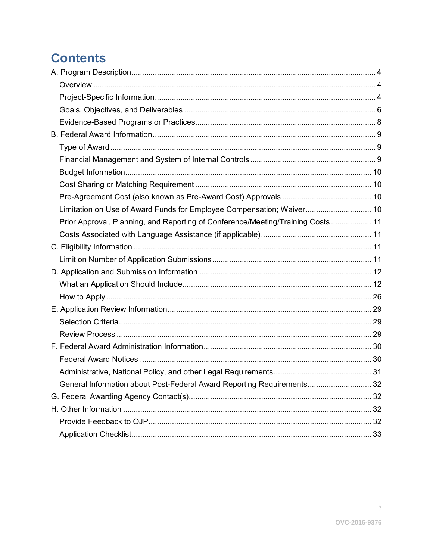# **Contents**

| Limitation on Use of Award Funds for Employee Compensation; Waiver 10           |  |
|---------------------------------------------------------------------------------|--|
| Prior Approval, Planning, and Reporting of Conference/Meeting/Training Costs 11 |  |
|                                                                                 |  |
|                                                                                 |  |
|                                                                                 |  |
|                                                                                 |  |
|                                                                                 |  |
|                                                                                 |  |
|                                                                                 |  |
|                                                                                 |  |
|                                                                                 |  |
|                                                                                 |  |
|                                                                                 |  |
|                                                                                 |  |
| General Information about Post-Federal Award Reporting Requirements 32          |  |
|                                                                                 |  |
|                                                                                 |  |
|                                                                                 |  |
|                                                                                 |  |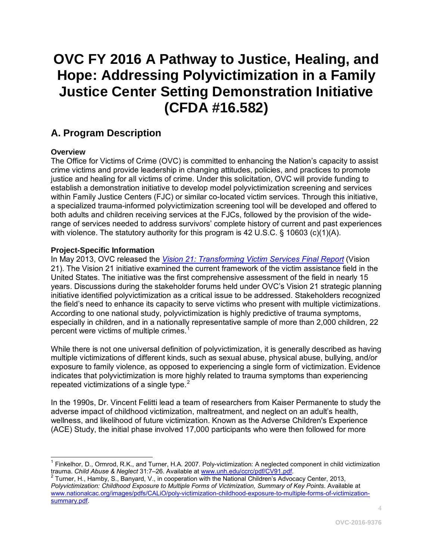# **OVC FY 2016 A Pathway to Justice, Healing, and Hope: Addressing Polyvictimization in a Family Justice Center Setting Demonstration Initiative (CFDA #16.582)**

## <span id="page-3-0"></span>**A. Program Description**

#### <span id="page-3-1"></span>**Overview**

The Office for Victims of Crime (OVC) is committed to enhancing the Nation's capacity to assist crime victims and provide leadership in changing attitudes, policies, and practices to promote justice and healing for all victims of crime. Under this solicitation, OVC will provide funding to establish a demonstration initiative to develop model polyvictimization screening and services within Family Justice Centers (FJC) or similar co-located victim services. Through this initiative, a specialized trauma-informed polyvictimization screening tool will be developed and offered to both adults and children receiving services at the FJCs, followed by the provision of the widerange of services needed to address survivors' complete history of current and past experiences with violence. The statutory authority for this program is 42 U.S.C. § 10603 (c)(1)(A).

#### <span id="page-3-2"></span>**Project-Specific Information**

In May 2013, OVC released the *[Vision 21: Transforming Victim Services Final Report](http://ovc.ncjrs.gov/vision21/pdfs/Vision21_Report.pdf)* (Vision 21). The Vision 21 initiative examined the current framework of the victim assistance field in the United States. The initiative was the first comprehensive assessment of the field in nearly 15 years. Discussions during the stakeholder forums held under OVC's Vision 21 strategic planning initiative identified polyvictimization as a critical issue to be addressed. Stakeholders recognized the field's need to enhance its capacity to serve victims who present with multiple victimizations. According to one national study, polyvictimization is highly predictive of trauma symptoms, especially in children, and in a nationally representative sample of more than 2,000 children, 22 percent were victims of multiple crimes.<sup>[1](#page-3-3)</sup>

While there is not one universal definition of polyvictimization, it is generally described as having multiple victimizations of different kinds, such as sexual abuse, physical abuse, bullying, and/or exposure to family violence, as opposed to experiencing a single form of victimization. Evidence indicates that polyvictimization is more highly related to trauma symptoms than experiencing repeated victimizations of a single type. $2$ 

In the 1990s, Dr. Vincent Felitti lead a team of researchers from Kaiser Permanente to study the adverse impact of childhood victimization, maltreatment, and neglect on an adult's health, wellness, and likelihood of future victimization. Known as the Adverse Children's Experience (ACE) Study, the initial phase involved 17,000 participants who were then followed for more

<span id="page-3-3"></span> $\overline{a}$  $1$  Finkelhor, D., Ormrod, R.K., and Turner, H.A. 2007. Poly-victimization: A neglected component in child victimization trauma. *Child Abuse & Neglect* 31:7–26. Available at [www.unh.edu/ccrc/pdf/CV91.pdf.](http://www.unh.edu/ccrc/pdf/CV91.pdf) 2 Turner, H., Hamby, S., Banyard, V., in cooperation with the National Children's Advocacy Center, 2013,

<span id="page-3-4"></span>*Polyvictimization: Childhood Exposure to Multiple Forms of Victimization, Summary of Key Points*. Available at [www.nationalcac.org/images/pdfs/CALiO/poly-victimization-childhood-exposure-to-multiple-forms-of-victimization](http://www.nationalcac.org/images/pdfs/CALiO/poly-victimization-childhood-exposure-to-multiple-forms-of-victimization-summary.pdf)[summary.pdf.](http://www.nationalcac.org/images/pdfs/CALiO/poly-victimization-childhood-exposure-to-multiple-forms-of-victimization-summary.pdf)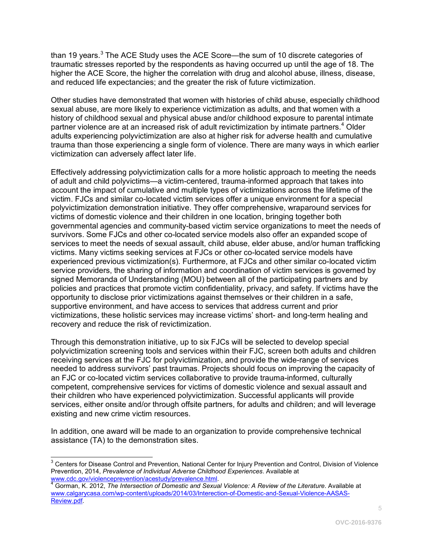than 19 years. $3$  The ACE Study uses the ACE Score—the sum of 10 discrete categories of traumatic stresses reported by the respondents as having occurred up until the age of 18. The higher the ACE Score, the higher the correlation with drug and alcohol abuse, illness, disease, and reduced life expectancies; and the greater the risk of future victimization.

Other studies have demonstrated that women with histories of child abuse, especially childhood sexual abuse, are more likely to experience victimization as adults, and that women with a history of childhood sexual and physical abuse and/or childhood exposure to parental intimate partner violence are at an increased risk of adult revictimization by intimate partners.<sup>[4](#page-4-1)</sup> Older adults experiencing polyvictimization are also at higher risk for adverse health and cumulative trauma than those experiencing a single form of violence. There are many ways in which earlier victimization can adversely affect later life.

Effectively addressing polyvictimization calls for a more holistic approach to meeting the needs of adult and child polyvictims—a victim-centered, trauma-informed approach that takes into account the impact of cumulative and multiple types of victimizations across the lifetime of the victim. FJCs and similar co-located victim services offer a unique environment for a special polyvictimization demonstration initiative. They offer comprehensive, wraparound services for victims of domestic violence and their children in one location, bringing together both governmental agencies and community-based victim service organizations to meet the needs of survivors. Some FJCs and other co-located service models also offer an expanded scope of services to meet the needs of sexual assault, child abuse, elder abuse, and/or human trafficking victims. Many victims seeking services at FJCs or other co-located service models have experienced previous victimization(s). Furthermore, at FJCs and other similar co-located victim service providers, the sharing of information and coordination of victim services is governed by signed Memoranda of Understanding (MOU) between all of the participating partners and by policies and practices that promote victim confidentiality, privacy, and safety. If victims have the opportunity to disclose prior victimizations against themselves or their children in a safe, supportive environment, and have access to services that address current and prior victimizations, these holistic services may increase victims' short- and long-term healing and recovery and reduce the risk of revictimization.

Through this demonstration initiative, up to six FJCs will be selected to develop special polyvictimization screening tools and services within their FJC, screen both adults and children receiving services at the FJC for polyvictimization, and provide the wide-range of services needed to address survivors' past traumas. Projects should focus on improving the capacity of an FJC or co-located victim services collaborative to provide trauma-informed, culturally competent, comprehensive services for victims of domestic violence and sexual assault and their children who have experienced polyvictimization. Successful applicants will provide services, either onsite and/or through offsite partners, for adults and children; and will leverage existing and new crime victim resources.

In addition, one award will be made to an organization to provide comprehensive technical assistance (TA) to the demonstration sites.

<span id="page-4-0"></span> $\overline{a}$  $3$  Centers for Disease Control and Prevention, National Center for Injury Prevention and Control, Division of Violence Prevention, 2014, *Prevalence of Individual Adverse Childhood Experiences*. Available at

<span id="page-4-1"></span>Gorman, K. 2012, *The Intersection of Domestic and Sexual Violence: A Review of the Literature*. Available at [www.calgarycasa.com/wp-content/uploads/2014/03/Interection-of-Domestic-and-Sexual-Violence-AASAS-](http://www.calgarycasa.com/wp-content/uploads/2014/03/Interection-of-Domestic-and-Sexual-Violence-AASAS-Review.pdf)[Review.pdf.](http://www.calgarycasa.com/wp-content/uploads/2014/03/Interection-of-Domestic-and-Sexual-Violence-AASAS-Review.pdf)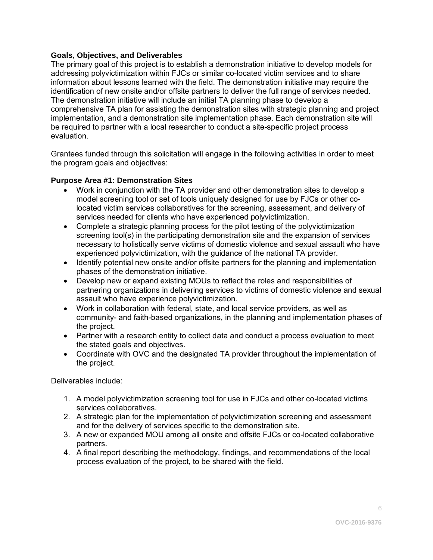#### <span id="page-5-0"></span>**Goals, Objectives, and Deliverables**

The primary goal of this project is to establish a demonstration initiative to develop models for addressing polyvictimization within FJCs or similar co-located victim services and to share information about lessons learned with the field. The demonstration initiative may require the identification of new onsite and/or offsite partners to deliver the full range of services needed. The demonstration initiative will include an initial TA planning phase to develop a comprehensive TA plan for assisting the demonstration sites with strategic planning and project implementation, and a demonstration site implementation phase. Each demonstration site will be required to partner with a local researcher to conduct a site-specific project process evaluation.

Grantees funded through this solicitation will engage in the following activities in order to meet the program goals and objectives:

#### **Purpose Area #1: Demonstration Sites**

- Work in conjunction with the TA provider and other demonstration sites to develop a model screening tool or set of tools uniquely designed for use by FJCs or other colocated victim services collaboratives for the screening, assessment, and delivery of services needed for clients who have experienced polyvictimization.
- Complete a strategic planning process for the pilot testing of the polyvictimization screening tool(s) in the participating demonstration site and the expansion of services necessary to holistically serve victims of domestic violence and sexual assault who have experienced polyvictimization, with the guidance of the national TA provider.
- Identify potential new onsite and/or offsite partners for the planning and implementation phases of the demonstration initiative.
- Develop new or expand existing MOUs to reflect the roles and responsibilities of partnering organizations in delivering services to victims of domestic violence and sexual assault who have experience polyvictimization.
- Work in collaboration with federal, state, and local service providers, as well as community- and faith-based organizations, in the planning and implementation phases of the project.
- Partner with a research entity to collect data and conduct a process evaluation to meet the stated goals and objectives.
- Coordinate with OVC and the designated TA provider throughout the implementation of the project.

Deliverables include:

- 1. A model polyvictimization screening tool for use in FJCs and other co-located victims services collaboratives.
- 2. A strategic plan for the implementation of polyvictimization screening and assessment and for the delivery of services specific to the demonstration site.
- 3. A new or expanded MOU among all onsite and offsite FJCs or co-located collaborative partners.
- 4. A final report describing the methodology, findings, and recommendations of the local process evaluation of the project, to be shared with the field.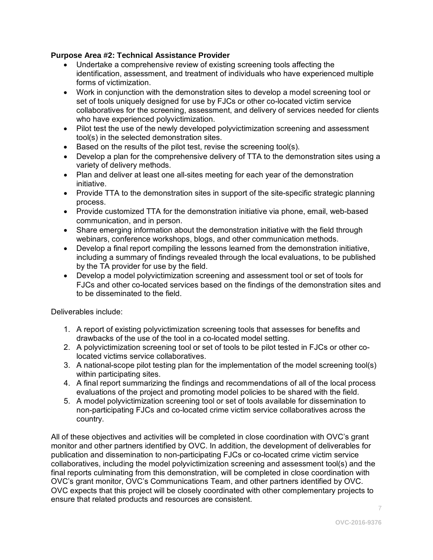#### **Purpose Area #2: Technical Assistance Provider**

- Undertake a comprehensive review of existing screening tools affecting the identification, assessment, and treatment of individuals who have experienced multiple forms of victimization.
- Work in conjunction with the demonstration sites to develop a model screening tool or set of tools uniquely designed for use by FJCs or other co-located victim service collaboratives for the screening, assessment, and delivery of services needed for clients who have experienced polyvictimization.
- Pilot test the use of the newly developed polyvictimization screening and assessment tool(s) in the selected demonstration sites.
- Based on the results of the pilot test, revise the screening tool(s).
- Develop a plan for the comprehensive delivery of TTA to the demonstration sites using a variety of delivery methods.
- Plan and deliver at least one all-sites meeting for each year of the demonstration initiative.
- Provide TTA to the demonstration sites in support of the site-specific strategic planning process.
- Provide customized TTA for the demonstration initiative via phone, email, web-based communication, and in person.
- Share emerging information about the demonstration initiative with the field through webinars, conference workshops, blogs, and other communication methods.
- Develop a final report compiling the lessons learned from the demonstration initiative, including a summary of findings revealed through the local evaluations, to be published by the TA provider for use by the field.
- Develop a model polyvictimization screening and assessment tool or set of tools for FJCs and other co-located services based on the findings of the demonstration sites and to be disseminated to the field.

Deliverables include:

- 1. A report of existing polyvictimization screening tools that assesses for benefits and drawbacks of the use of the tool in a co-located model setting.
- 2. A polyvictimization screening tool or set of tools to be pilot tested in FJCs or other colocated victims service collaboratives.
- 3. A national-scope pilot testing plan for the implementation of the model screening tool(s) within participating sites.
- 4. A final report summarizing the findings and recommendations of all of the local process evaluations of the project and promoting model policies to be shared with the field.
- 5. A model polyvictimization screening tool or set of tools available for dissemination to non-participating FJCs and co-located crime victim service collaboratives across the country.

All of these objectives and activities will be completed in close coordination with OVC's grant monitor and other partners identified by OVC. In addition, the development of deliverables for publication and dissemination to non-participating FJCs or co-located crime victim service collaboratives, including the model polyvictimization screening and assessment tool(s) and the final reports culminating from this demonstration, will be completed in close coordination with OVC's grant monitor, OVC's Communications Team, and other partners identified by OVC. OVC expects that this project will be closely coordinated with other complementary projects to ensure that related products and resources are consistent.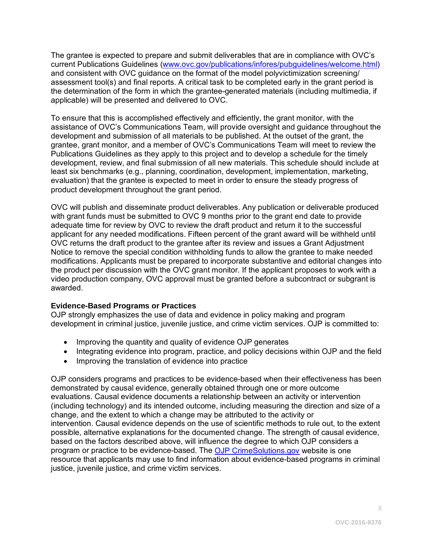The grantee is expected to prepare and submit deliverables that are in compliance with OVC's current Publications Guidelines [\(www.ovc.gov/publications/infores/pubguidelines/welcome.html\)](http://www.ovc.gov/publications/infores/pubguidelines/welcome.html) and consistent with OVC guidance on the format of the model polyvictimization screening/ assessment tool(s) and final reports. A critical task to be completed early in the grant period is the determination of the form in which the grantee-generated materials (including multimedia, if applicable) will be presented and delivered to OVC.

To ensure that this is accomplished effectively and efficiently, the grant monitor, with the assistance of OVC's Communications Team, will provide oversight and guidance throughout the development and submission of all materials to be published. At the outset of the grant, the grantee, grant monitor, and a member of OVC's Communications Team will meet to review the Publications Guidelines as they apply to this project and to develop a schedule for the timely development, review, and final submission of all new materials. This schedule should include at least six benchmarks (e.g., planning, coordination, development, implementation, marketing, evaluation) that the grantee is expected to meet in order to ensure the steady progress of product development throughout the grant period.

OVC will publish and disseminate product deliverables. Any publication or deliverable produced with grant funds must be submitted to OVC 9 months prior to the grant end date to provide adequate time for review by OVC to review the draft product and return it to the successful applicant for any needed modifications. Fifteen percent of the grant award will be withheld until OVC returns the draft product to the grantee after its review and issues a Grant Adjustment Notice to remove the special condition withholding funds to allow the grantee to make needed modifications. Applicants must be prepared to incorporate substantive and editorial changes into the product per discussion with the OVC grant monitor. If the applicant proposes to work with a video production company, OVC approval must be granted before a subcontract or subgrant is awarded.

#### <span id="page-7-0"></span>**Evidence-Based Programs or Practices**

OJP strongly emphasizes the use of data and evidence in policy making and program development in criminal justice, juvenile justice, and crime victim services. OJP is committed to:

- Improving the quantity and quality of evidence OJP generates
- Integrating evidence into program, practice, and policy decisions within OJP and the field
- Improving the translation of evidence into practice

OJP considers programs and practices to be evidence-based when their effectiveness has been demonstrated by causal evidence, generally obtained through one or more outcome evaluations. Causal evidence documents a relationship between an activity or intervention (including technology) and its intended outcome, including measuring the direction and size of a change, and the extent to which a change may be attributed to the activity or intervention. Causal evidence depends on the use of scientific methods to rule out, to the extent possible, alternative explanations for the documented change. The strength of causal evidence, based on the factors described above, will influence the degree to which OJP considers a program or practice to be evidence-based. The [OJP CrimeSolutions.gov](http://www.crimesolutions.gov/) website is one resource that applicants may use to find information about evidence-based programs in criminal justice, juvenile justice, and crime victim services.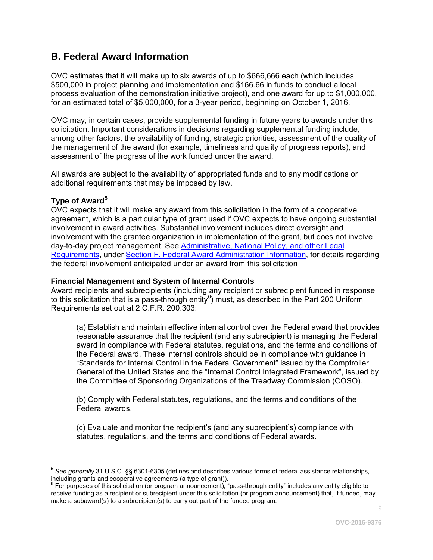## <span id="page-8-0"></span>**B. Federal Award Information**

OVC estimates that it will make up to six awards of up to \$666,666 each (which includes \$500,000 in project planning and implementation and \$166.66 in funds to conduct a local process evaluation of the demonstration initiative project), and one award for up to \$1,000,000, for an estimated total of \$5,000,000, for a 3-year period, beginning on October 1, 2016.

OVC may, in certain cases, provide supplemental funding in future years to awards under this solicitation. Important considerations in decisions regarding supplemental funding include, among other factors, the availability of funding, strategic priorities, assessment of the quality of the management of the award (for example, timeliness and quality of progress reports), and assessment of the progress of the work funded under the award.

All awards are subject to the availability of appropriated funds and to any modifications or additional requirements that may be imposed by law.

#### <span id="page-8-1"></span>**Type of Award[5](#page-8-3)**

OVC expects that it will make any award from this solicitation in the form of a cooperative agreement, which is a particular type of grant used if OVC expects to have ongoing substantial involvement in award activities. Substantial involvement includes direct oversight and involvement with the grantee organization in implementation of the grant, but does not involve day-to-day project management. See Administrative, National Policy, and other Legal Requirements, under Section F. Federal Award Administration Information, for details regarding the federal involvement anticipated under an award from this solicitation

#### <span id="page-8-2"></span>**Financial Management and System of Internal Controls**

Award recipients and subrecipients (including any recipient or subrecipient funded in response to this solicitation that is a pass-through entity<sup>[6](#page-8-4)</sup>) must, as described in the Part 200 Uniform Requirements set out at 2 C.F.R. 200.303:

(a) Establish and maintain effective internal control over the Federal award that provides reasonable assurance that the recipient (and any subrecipient) is managing the Federal award in compliance with Federal statutes, regulations, and the terms and conditions of the Federal award. These internal controls should be in compliance with guidance in "Standards for Internal Control in the Federal Government" issued by the Comptroller General of the United States and the "Internal Control Integrated Framework", issued by the Committee of Sponsoring Organizations of the Treadway Commission (COSO).

(b) Comply with Federal statutes, regulations, and the terms and conditions of the Federal awards.

(c) Evaluate and monitor the recipient's (and any subrecipient's) compliance with statutes, regulations, and the terms and conditions of Federal awards.

<span id="page-8-3"></span> $\overline{\phantom{a}}$ <sup>5</sup> *See generally* 31 U.S.C. §§ 6301-6305 (defines and describes various forms of federal assistance relationships, including grants and cooperative agreements (a type of grant)).

<span id="page-8-4"></span> $6$  For purposes of this solicitation (or program announcement), "pass-through entity" includes any entity eligible to receive funding as a recipient or subrecipient under this solicitation (or program announcement) that, if funded, may make a subaward(s) to a subrecipient(s) to carry out part of the funded program.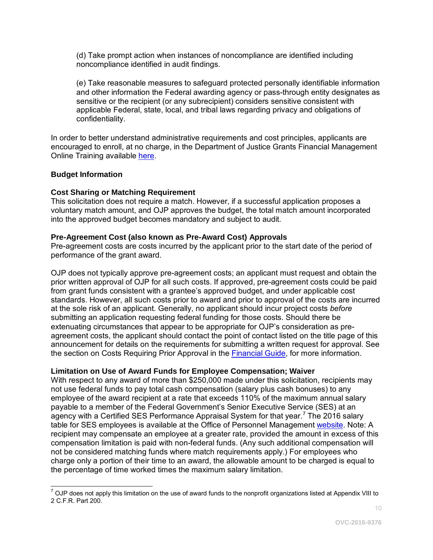(d) Take prompt action when instances of noncompliance are identified including noncompliance identified in audit findings.

(e) Take reasonable measures to safeguard protected personally identifiable information and other information the Federal awarding agency or pass-through entity designates as sensitive or the recipient (or any subrecipient) considers sensitive consistent with applicable Federal, state, local, and tribal laws regarding privacy and obligations of confidentiality.

In order to better understand administrative requirements and cost principles, applicants are encouraged to enroll, at no charge, in the Department of Justice Grants Financial Management Online Training available [here.](http://gfm.webfirst.com/)

#### <span id="page-9-0"></span>**Budget Information**

#### <span id="page-9-1"></span>**Cost Sharing or Matching Requirement**

This solicitation does not require a match. However, if a successful application proposes a voluntary match amount, and OJP approves the budget, the total match amount incorporated into the approved budget becomes mandatory and subject to audit.

#### <span id="page-9-2"></span>**Pre-Agreement Cost (also known as Pre-Award Cost) Approvals**

Pre-agreement costs are costs incurred by the applicant prior to the start date of the period of performance of the grant award.

OJP does not typically approve pre-agreement costs; an applicant must request and obtain the prior written approval of OJP for all such costs. If approved, pre-agreement costs could be paid from grant funds consistent with a grantee's approved budget, and under applicable cost standards. However, all such costs prior to award and prior to approval of the costs are incurred at the sole risk of an applicant. Generally, no applicant should incur project costs *before* submitting an application requesting federal funding for those costs. Should there be extenuating circumstances that appear to be appropriate for OJP's consideration as preagreement costs, the applicant should contact the point of contact listed on the title page of this announcement for details on the requirements for submitting a written request for approval. See the section on Costs Requiring Prior Approval in the [Financial Guide,](http://ojp.gov/financialguide/DOJ/index.htm) for more information.

#### <span id="page-9-3"></span>**Limitation on Use of Award Funds for Employee Compensation; Waiver**

With respect to any award of more than \$250,000 made under this solicitation, recipients may not use federal funds to pay total cash compensation (salary plus cash bonuses) to any employee of the award recipient at a rate that exceeds 110% of the maximum annual salary payable to a member of the Federal Government's Senior Executive Service (SES) at an agency with a Certified SES Performance Appraisal System for that year.<sup>[7](#page-9-4)</sup> The 2016 salary table for SES employees is available at the Office of Personnel Management [website.](http://www.opm.gov/policy-data-oversight/pay-leave/salaries-wages/salary-tables/16Tables/exec/html/ES.aspx) Note: A recipient may compensate an employee at a greater rate, provided the amount in excess of this compensation limitation is paid with non-federal funds. (Any such additional compensation will not be considered matching funds where match requirements apply.) For employees who charge only a portion of their time to an award, the allowable amount to be charged is equal to the percentage of time worked times the maximum salary limitation.

<span id="page-9-4"></span> $\overline{a}$  $^7$  OJP does not apply this limitation on the use of award funds to the nonprofit organizations listed at Appendix VIII to 2 C.F.R. Part 200.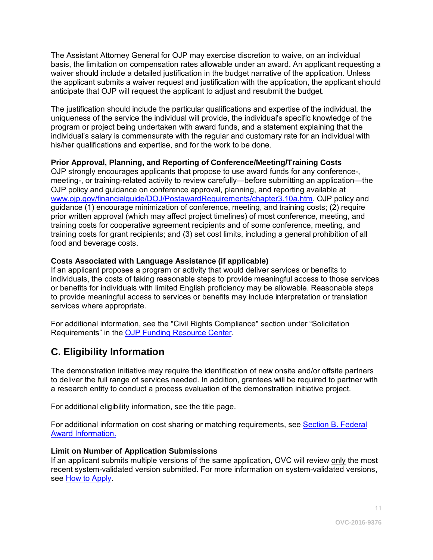The Assistant Attorney General for OJP may exercise discretion to waive, on an individual basis, the limitation on compensation rates allowable under an award. An applicant requesting a waiver should include a detailed justification in the budget narrative of the application. Unless the applicant submits a waiver request and justification with the application, the applicant should anticipate that OJP will request the applicant to adjust and resubmit the budget.

The justification should include the particular qualifications and expertise of the individual, the uniqueness of the service the individual will provide, the individual's specific knowledge of the program or project being undertaken with award funds, and a statement explaining that the individual's salary is commensurate with the regular and customary rate for an individual with his/her qualifications and expertise, and for the work to be done.

#### <span id="page-10-1"></span>**Prior Approval, Planning, and Reporting of Conference/Meeting/Training Costs**

OJP strongly encourages applicants that propose to use award funds for any conference-, meeting-, or training-related activity to review carefully—before submitting an application—the OJP policy and guidance on conference approval, planning, and reporting available at [www.ojp.gov/financialguide/DOJ/PostawardRequirements/chapter3.10a.htm.](http://www.ojp.gov/financialguide/DOJ/PostawardRequirements/chapter3.10a.htm) OJP policy and guidance (1) encourage minimization of conference, meeting, and training costs; (2) require prior written approval (which may affect project timelines) of most conference, meeting, and training costs for cooperative agreement recipients and of some conference, meeting, and training costs for grant recipients; and (3) set cost limits, including a general prohibition of all food and beverage costs.

#### <span id="page-10-2"></span>**Costs Associated with Language Assistance (if applicable)**

If an applicant proposes a program or activity that would deliver services or benefits to individuals, the costs of taking reasonable steps to provide meaningful access to those services or benefits for individuals with limited English proficiency may be allowable. Reasonable steps to provide meaningful access to services or benefits may include interpretation or translation services where appropriate.

For additional information, see the "Civil Rights Compliance" section under "Solicitation Requirements" in the [OJP Funding Resource Center.](http://ojp.gov/funding/index.htm)

## <span id="page-10-0"></span>**C. Eligibility Information**

The demonstration initiative may require the identification of new onsite and/or offsite partners to deliver the full range of services needed. In addition, grantees will be required to partner with a research entity to conduct a process evaluation of the demonstration initiative project.

For additional eligibility information, see the title page.

For additional information on cost sharing or matching requirements, see Section [B. Federal](#page-8-0)  [Award Information.](#page-8-0)

#### <span id="page-10-3"></span>**Limit on Number of Application Submissions**

If an applicant submits multiple versions of the same application, OVC will review only the most recent system-validated version submitted. For more information on system-validated versions, see [How to Apply.](#page-25-0)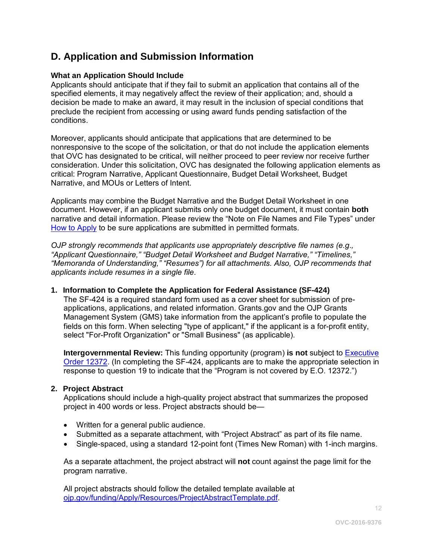## <span id="page-11-0"></span>**D. Application and Submission Information**

#### <span id="page-11-1"></span>**What an Application Should Include**

Applicants should anticipate that if they fail to submit an application that contains all of the specified elements, it may negatively affect the review of their application; and, should a decision be made to make an award, it may result in the inclusion of special conditions that preclude the recipient from accessing or using award funds pending satisfaction of the conditions.

Moreover, applicants should anticipate that applications that are determined to be nonresponsive to the scope of the solicitation, or that do not include the application elements that OVC has designated to be critical, will neither proceed to peer review nor receive further consideration. Under this solicitation, OVC has designated the following application elements as critical: Program Narrative, Applicant Questionnaire, Budget Detail Worksheet, Budget Narrative, and MOUs or Letters of Intent.

Applicants may combine the Budget Narrative and the Budget Detail Worksheet in one document. However, if an applicant submits only one budget document, it must contain **both** narrative and detail information. Please review the "Note on File Names and File Types" under [How to Apply](#page-25-0) to be sure applications are submitted in permitted formats.

*OJP strongly recommends that applicants use appropriately descriptive file names (e.g*.*, "Applicant Questionnaire," "Budget Detail Worksheet and Budget Narrative," "Timelines," "Memoranda of Understanding," "Resumes") for all attachments. Also, OJP recommends that applicants include resumes in a single file.*

#### **1. Information to Complete the Application for Federal Assistance (SF-424)**

The SF-424 is a required standard form used as a cover sheet for submission of preapplications, applications, and related information. Grants.gov and the OJP Grants Management System (GMS) take information from the applicant's profile to populate the fields on this form. When selecting "type of applicant," if the applicant is a for-profit entity, select "For-Profit Organization" or "Small Business" (as applicable).

**Intergovernmental Review:** This funding opportunity (program) **is not** subject to [Executive](http://www.archives.gov/federal-register/codification/executive-order/12372.html)  [Order 12372.](http://www.archives.gov/federal-register/codification/executive-order/12372.html) (In completing the SF-424, applicants are to make the appropriate selection in response to question 19 to indicate that the "Program is not covered by E.O. 12372.")

#### **2. Project Abstract**

Applications should include a high-quality project abstract that summarizes the proposed project in 400 words or less. Project abstracts should be—

- Written for a general public audience.
- Submitted as a separate attachment, with "Project Abstract" as part of its file name.
- Single-spaced, using a standard 12-point font (Times New Roman) with 1-inch margins.

As a separate attachment, the project abstract will **not** count against the page limit for the program narrative.

All project abstracts should follow the detailed template available at [ojp.gov/funding/Apply/Resources/ProjectAbstractTemplate.pdf.](http://ojp.gov/funding/Apply/Resources/ProjectAbstractTemplate.pdf)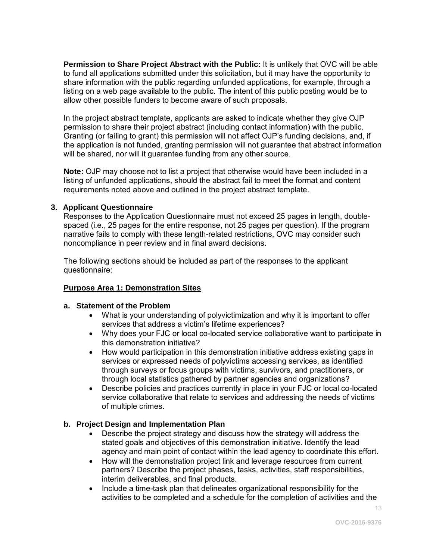**Permission to Share Project Abstract with the Public:** It is unlikely that OVC will be able to fund all applications submitted under this solicitation, but it may have the opportunity to share information with the public regarding unfunded applications, for example, through a listing on a web page available to the public. The intent of this public posting would be to allow other possible funders to become aware of such proposals.

In the project abstract template, applicants are asked to indicate whether they give OJP permission to share their project abstract (including contact information) with the public. Granting (or failing to grant) this permission will not affect OJP's funding decisions, and, if the application is not funded, granting permission will not guarantee that abstract information will be shared, nor will it guarantee funding from any other source.

**Note:** OJP may choose not to list a project that otherwise would have been included in a listing of unfunded applications, should the abstract fail to meet the format and content requirements noted above and outlined in the project abstract template.

#### **3. Applicant Questionnaire**

Responses to the Application Questionnaire must not exceed 25 pages in length, doublespaced (i.e., 25 pages for the entire response, not 25 pages per question). If the program narrative fails to comply with these length-related restrictions, OVC may consider such noncompliance in peer review and in final award decisions.

The following sections should be included as part of the responses to the applicant questionnaire:

#### **Purpose Area 1: Demonstration Sites**

#### **a. Statement of the Problem**

- What is your understanding of polyvictimization and why it is important to offer services that address a victim's lifetime experiences?
- Why does your FJC or local co-located service collaborative want to participate in this demonstration initiative?
- How would participation in this demonstration initiative address existing gaps in services or expressed needs of polyvictims accessing services, as identified through surveys or focus groups with victims, survivors, and practitioners, or through local statistics gathered by partner agencies and organizations?
- Describe policies and practices currently in place in your FJC or local co-located service collaborative that relate to services and addressing the needs of victims of multiple crimes.

#### **b. Project Design and Implementation Plan**

- Describe the project strategy and discuss how the strategy will address the stated goals and objectives of this demonstration initiative. Identify the lead agency and main point of contact within the lead agency to coordinate this effort.
- How will the demonstration project link and leverage resources from current partners? Describe the project phases, tasks, activities, staff responsibilities, interim deliverables, and final products.
- Include a time-task plan that delineates organizational responsibility for the activities to be completed and a schedule for the completion of activities and the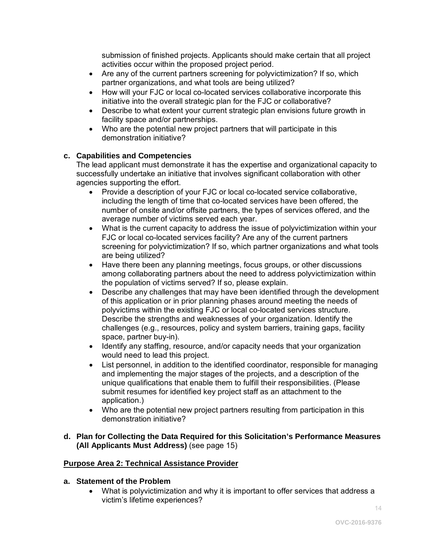submission of finished projects. Applicants should make certain that all project activities occur within the proposed project period.

- Are any of the current partners screening for polyvictimization? If so, which partner organizations, and what tools are being utilized?
- How will your FJC or local co-located services collaborative incorporate this initiative into the overall strategic plan for the FJC or collaborative?
- Describe to what extent your current strategic plan envisions future growth in facility space and/or partnerships.
- Who are the potential new project partners that will participate in this demonstration initiative?

#### **c. Capabilities and Competencies**

The lead applicant must demonstrate it has the expertise and organizational capacity to successfully undertake an initiative that involves significant collaboration with other agencies supporting the effort.

- Provide a description of your FJC or local co-located service collaborative, including the length of time that co-located services have been offered, the number of onsite and/or offsite partners, the types of services offered, and the average number of victims served each year.
- What is the current capacity to address the issue of polyvictimization within your FJC or local co-located services facility? Are any of the current partners screening for polyvictimization? If so, which partner organizations and what tools are being utilized?
- Have there been any planning meetings, focus groups, or other discussions among collaborating partners about the need to address polyvictimization within the population of victims served? If so, please explain.
- Describe any challenges that may have been identified through the development of this application or in prior planning phases around meeting the needs of polyvictims within the existing FJC or local co-located services structure. Describe the strengths and weaknesses of your organization. Identify the challenges (e.g., resources, policy and system barriers, training gaps, facility space, partner buy-in).
- Identify any staffing, resource, and/or capacity needs that your organization would need to lead this project.
- List personnel, in addition to the identified coordinator, responsible for managing and implementing the major stages of the projects, and a description of the unique qualifications that enable them to fulfill their responsibilities. (Please submit resumes for identified key project staff as an attachment to the application.)
- Who are the potential new project partners resulting from participation in this demonstration initiative?

#### **d. Plan for Collecting the Data Required for this Solicitation's Performance Measures (All Applicants Must Address)** (see page 15)

#### **Purpose Area 2: Technical Assistance Provider**

#### **a. Statement of the Problem**

• What is polyvictimization and why it is important to offer services that address a victim's lifetime experiences?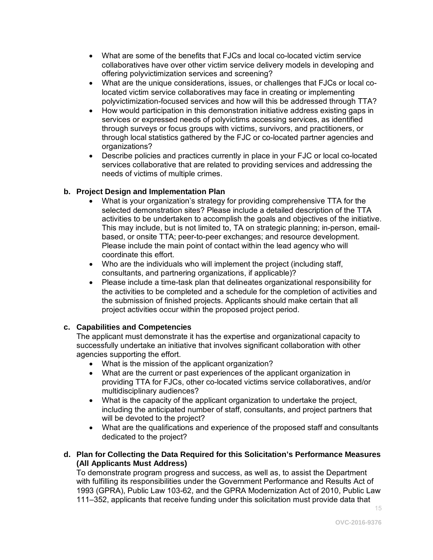- What are some of the benefits that FJCs and local co-located victim service collaboratives have over other victim service delivery models in developing and offering polyvictimization services and screening?
- What are the unique considerations, issues, or challenges that FJCs or local colocated victim service collaboratives may face in creating or implementing polyvictimization-focused services and how will this be addressed through TTA?
- How would participation in this demonstration initiative address existing gaps in services or expressed needs of polyvictims accessing services, as identified through surveys or focus groups with victims, survivors, and practitioners, or through local statistics gathered by the FJC or co-located partner agencies and organizations?
- Describe policies and practices currently in place in your FJC or local co-located services collaborative that are related to providing services and addressing the needs of victims of multiple crimes.

#### **b. Project Design and Implementation Plan**

- What is your organization's strategy for providing comprehensive TTA for the selected demonstration sites? Please include a detailed description of the TTA activities to be undertaken to accomplish the goals and objectives of the initiative. This may include, but is not limited to, TA on strategic planning; in-person, emailbased, or onsite TTA; peer-to-peer exchanges; and resource development. Please include the main point of contact within the lead agency who will coordinate this effort.
- Who are the individuals who will implement the project (including staff, consultants, and partnering organizations, if applicable)?
- Please include a time-task plan that delineates organizational responsibility for the activities to be completed and a schedule for the completion of activities and the submission of finished projects. Applicants should make certain that all project activities occur within the proposed project period.

#### **c. Capabilities and Competencies**

The applicant must demonstrate it has the expertise and organizational capacity to successfully undertake an initiative that involves significant collaboration with other agencies supporting the effort.

- What is the mission of the applicant organization?
- What are the current or past experiences of the applicant organization in providing TTA for FJCs, other co-located victims service collaboratives, and/or multidisciplinary audiences?
- What is the capacity of the applicant organization to undertake the project, including the anticipated number of staff, consultants, and project partners that will be devoted to the project?
- What are the qualifications and experience of the proposed staff and consultants dedicated to the project?
- **d. Plan for Collecting the Data Required for this Solicitation's Performance Measures (All Applicants Must Address)**

To demonstrate program progress and success, as well as, to assist the Department with fulfilling its responsibilities under the Government Performance and Results Act of 1993 (GPRA), Public Law 103-62, and the GPRA Modernization Act of 2010, Public Law 111–352, applicants that receive funding under this solicitation must provide data that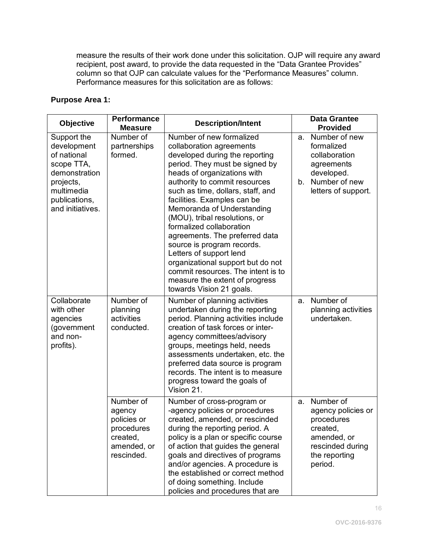measure the results of their work done under this solicitation. OJP will require any award recipient, post award, to provide the data requested in the "Data Grantee Provides" column so that OJP can calculate values for the "Performance Measures" column. Performance measures for this solicitation are as follows:

#### **Purpose Area 1:**

| <b>Objective</b>                                                                                                                         | <b>Performance</b><br><b>Measure</b>                                                      | <b>Description/Intent</b>                                                                                                                                                                                                                                                                                                                                                                                                                                                                                                                                                                   |          | <b>Data Grantee</b><br><b>Provided</b>                                                                                   |
|------------------------------------------------------------------------------------------------------------------------------------------|-------------------------------------------------------------------------------------------|---------------------------------------------------------------------------------------------------------------------------------------------------------------------------------------------------------------------------------------------------------------------------------------------------------------------------------------------------------------------------------------------------------------------------------------------------------------------------------------------------------------------------------------------------------------------------------------------|----------|--------------------------------------------------------------------------------------------------------------------------|
| Support the<br>development<br>of national<br>scope TTA,<br>demonstration<br>projects,<br>multimedia<br>publications,<br>and initiatives. | Number of<br>partnerships<br>formed.                                                      | Number of new formalized<br>collaboration agreements<br>developed during the reporting<br>period. They must be signed by<br>heads of organizations with<br>authority to commit resources<br>such as time, dollars, staff, and<br>facilities. Examples can be<br>Memoranda of Understanding<br>(MOU), tribal resolutions, or<br>formalized collaboration<br>agreements. The preferred data<br>source is program records.<br>Letters of support lend<br>organizational support but do not<br>commit resources. The intent is to<br>measure the extent of progress<br>towards Vision 21 goals. | a.<br>b. | Number of new<br>formalized<br>collaboration<br>agreements<br>developed.<br>Number of new<br>letters of support.         |
| Collaborate<br>with other<br>agencies<br>(government<br>and non-<br>profits).                                                            | Number of<br>planning<br>activities<br>conducted.                                         | Number of planning activities<br>undertaken during the reporting<br>period. Planning activities include<br>creation of task forces or inter-<br>agency committees/advisory<br>groups, meetings held, needs<br>assessments undertaken, etc. the<br>preferred data source is program<br>records. The intent is to measure<br>progress toward the goals of<br>Vision 21.                                                                                                                                                                                                                       | a.       | Number of<br>planning activities<br>undertaken.                                                                          |
|                                                                                                                                          | Number of<br>agency<br>policies or<br>procedures<br>created,<br>amended, or<br>rescinded. | Number of cross-program or<br>-agency policies or procedures<br>created, amended, or rescinded<br>during the reporting period. A<br>policy is a plan or specific course<br>of action that guides the general<br>goals and directives of programs<br>and/or agencies. A procedure is<br>the established or correct method<br>of doing something. Include<br>policies and procedures that are                                                                                                                                                                                                 | a.       | Number of<br>agency policies or<br>procedures<br>created,<br>amended, or<br>rescinded during<br>the reporting<br>period. |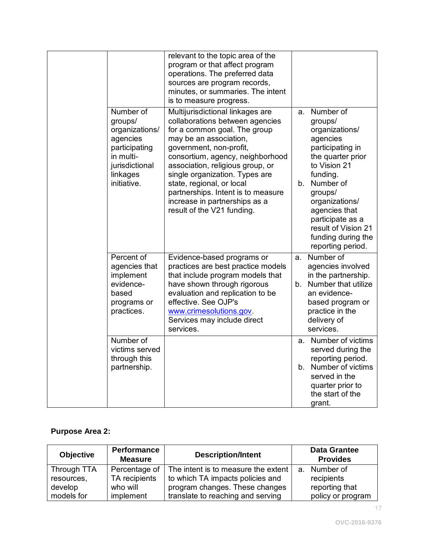|                                                                          | is to measure progress.                                                                                                                                           | relevant to the topic area of the<br>program or that affect program<br>operations. The preferred data<br>sources are program records,<br>minutes, or summaries. The intent                                                                                                                 |                                                                                                                                                                                                                                                                                |
|--------------------------------------------------------------------------|-------------------------------------------------------------------------------------------------------------------------------------------------------------------|--------------------------------------------------------------------------------------------------------------------------------------------------------------------------------------------------------------------------------------------------------------------------------------------|--------------------------------------------------------------------------------------------------------------------------------------------------------------------------------------------------------------------------------------------------------------------------------|
| Number of<br>groups/<br>agencies<br>in multi-<br>linkages<br>initiative. | organizations/<br>may be an association,<br>participating<br>government, non-profit,<br>jurisdictional<br>state, regional, or local<br>result of the V21 funding. | Multijurisdictional linkages are<br>collaborations between agencies<br>for a common goal. The group<br>consortium, agency, neighborhood<br>association, religious group, or<br>single organization. Types are<br>b.<br>partnerships. Intent is to measure<br>increase in partnerships as a | Number of<br>a.<br>groups/<br>organizations/<br>agencies<br>participating in<br>the quarter prior<br>to Vision 21<br>funding.<br>Number of<br>groups/<br>organizations/<br>agencies that<br>participate as a<br>result of Vision 21<br>funding during the<br>reporting period. |
| Percent of<br>implement<br>evidence-<br>based<br>practices.              | agencies that<br>effective. See OJP's<br>programs or<br>www.crimesolutions.gov.<br>services.                                                                      | Evidence-based programs or<br>a.<br>practices are best practice models<br>that include program models that<br>have shown through rigorous<br>b.<br>evaluation and replication to be<br>Services may include direct                                                                         | Number of<br>agencies involved<br>in the partnership.<br>Number that utilize<br>an evidence-<br>based program or<br>practice in the<br>delivery of<br>services.                                                                                                                |
| Number of                                                                | victims served<br>through this<br>partnership.                                                                                                                    | а.<br>b.                                                                                                                                                                                                                                                                                   | Number of victims<br>served during the<br>reporting period.<br>Number of victims<br>served in the<br>quarter prior to<br>the start of the<br>grant.                                                                                                                            |

### **Purpose Area 2:**

| <b>Objective</b> | <b>Performance</b><br><b>Measure</b> | <b>Description/Intent</b>           | <b>Data Grantee</b><br><b>Provides</b> |
|------------------|--------------------------------------|-------------------------------------|----------------------------------------|
| Through TTA      | Percentage of                        | The intent is to measure the extent | a. Number of                           |
| resources,       | TA recipients                        | to which TA impacts policies and    | recipients                             |
| develop          | who will                             | program changes. These changes      | reporting that                         |
| models for       | implement                            | translate to reaching and serving   | policy or program                      |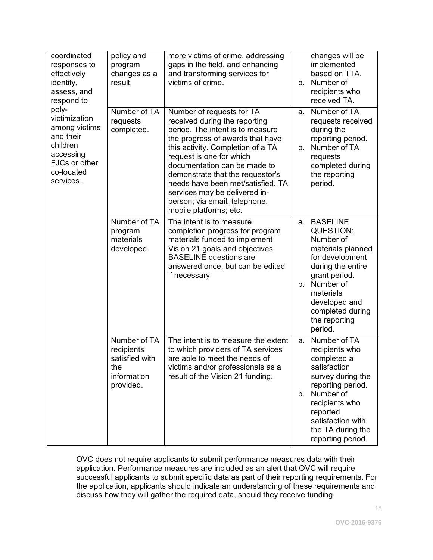| coordinated<br>responses to<br>effectively<br>identify,<br>assess, and<br>respond to<br>poly-<br>victimization<br>among victims<br>and their<br>children<br>accessing<br>FJCs or other<br>co-located<br>services. | policy and<br>program<br>changes as a<br>result.                                | more victims of crime, addressing<br>gaps in the field, and enhancing<br>and transforming services for<br>victims of crime.                                                                                                                                                                                                                                                                              | b.       | changes will be<br>implemented<br>based on TTA.<br>Number of<br>recipients who<br>received TA.                                                                                                                            |
|-------------------------------------------------------------------------------------------------------------------------------------------------------------------------------------------------------------------|---------------------------------------------------------------------------------|----------------------------------------------------------------------------------------------------------------------------------------------------------------------------------------------------------------------------------------------------------------------------------------------------------------------------------------------------------------------------------------------------------|----------|---------------------------------------------------------------------------------------------------------------------------------------------------------------------------------------------------------------------------|
|                                                                                                                                                                                                                   | Number of TA<br>requests<br>completed.                                          | Number of requests for TA<br>received during the reporting<br>period. The intent is to measure<br>the progress of awards that have<br>this activity. Completion of a TA<br>request is one for which<br>documentation can be made to<br>demonstrate that the requestor's<br>needs have been met/satisfied. TA<br>services may be delivered in-<br>person; via email, telephone,<br>mobile platforms; etc. | a.<br>b. | Number of TA<br>requests received<br>during the<br>reporting period.<br>Number of TA<br>requests<br>completed during<br>the reporting<br>period.                                                                          |
|                                                                                                                                                                                                                   | Number of TA<br>program<br>materials<br>developed.                              | The intent is to measure<br>completion progress for program<br>materials funded to implement<br>Vision 21 goals and objectives.<br><b>BASELINE</b> questions are<br>answered once, but can be edited<br>if necessary.                                                                                                                                                                                    | a.<br>b. | <b>BASELINE</b><br><b>QUESTION:</b><br>Number of<br>materials planned<br>for development<br>during the entire<br>grant period.<br>Number of<br>materials<br>developed and<br>completed during<br>the reporting<br>period. |
|                                                                                                                                                                                                                   | Number of TA<br>recipients<br>satisfied with<br>the<br>information<br>provided. | The intent is to measure the extent<br>to which providers of TA services<br>are able to meet the needs of<br>victims and/or professionals as a<br>result of the Vision 21 funding.                                                                                                                                                                                                                       | a.<br>b. | Number of TA<br>recipients who<br>completed a<br>satisfaction<br>survey during the<br>reporting period.<br>Number of<br>recipients who<br>reported<br>satisfaction with<br>the TA during the<br>reporting period.         |

OVC does not require applicants to submit performance measures data with their application. Performance measures are included as an alert that OVC will require successful applicants to submit specific data as part of their reporting requirements. For the application, applicants should indicate an understanding of these requirements and discuss how they will gather the required data, should they receive funding.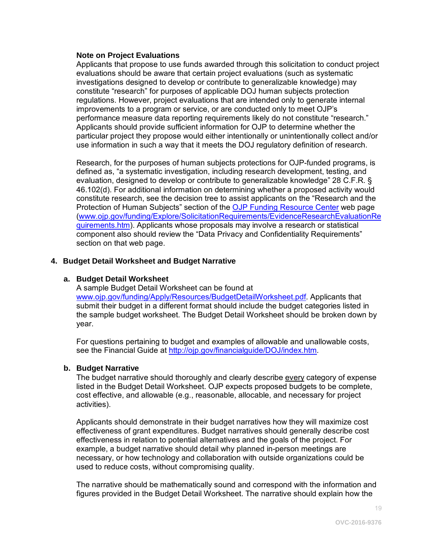#### **Note on Project Evaluations**

Applicants that propose to use funds awarded through this solicitation to conduct project evaluations should be aware that certain project evaluations (such as systematic investigations designed to develop or contribute to generalizable knowledge) may constitute "research" for purposes of applicable DOJ human subjects protection regulations. However, project evaluations that are intended only to generate internal improvements to a program or service, or are conducted only to meet OJP's performance measure data reporting requirements likely do not constitute "research." Applicants should provide sufficient information for OJP to determine whether the particular project they propose would either intentionally or unintentionally collect and/or use information in such a way that it meets the DOJ regulatory definition of research.

Research, for the purposes of human subjects protections for OJP-funded programs, is defined as, "a systematic investigation, including research development, testing, and evaluation, designed to develop or contribute to generalizable knowledge" 28 C.F.R. § 46.102(d). For additional information on determining whether a proposed activity would constitute research, see the decision tree to assist applicants on the "Research and the Protection of Human Subjects" section of the [OJP Funding Resource Center](http://ojp.gov/funding/index.htm) web page [\(www.ojp.gov/funding/Explore/SolicitationRequirements/EvidenceResearchEvaluationRe](http://ojp.gov/funding/Explore/SolicitationRequirements/EvidenceResearchEvaluationRequirements.htm) [quirements.htm\)](http://ojp.gov/funding/Explore/SolicitationRequirements/EvidenceResearchEvaluationRequirements.htm). Applicants whose proposals may involve a research or statistical component also should review the "Data Privacy and Confidentiality Requirements" section on that web page.

#### **4. Budget Detail Worksheet and Budget Narrative**

#### **a. Budget Detail Worksheet**

A sample Budget Detail Worksheet can be found at [www.ojp.gov/funding/Apply/Resources/BudgetDetailWorksheet.pdf.](http://ojp.gov/funding/Apply/Resources/BudgetDetailWorksheet.pdf) Applicants that submit their budget in a different format should include the budget categories listed in the sample budget worksheet. The Budget Detail Worksheet should be broken down by year.

For questions pertaining to budget and examples of allowable and unallowable costs, see the Financial Guide at<http://ojp.gov/financialguide/DOJ/index.htm>*.*

#### **b. Budget Narrative**

The budget narrative should thoroughly and clearly describe every category of expense listed in the Budget Detail Worksheet. OJP expects proposed budgets to be complete, cost effective, and allowable (e.g., reasonable, allocable, and necessary for project activities).

Applicants should demonstrate in their budget narratives how they will maximize cost effectiveness of grant expenditures. Budget narratives should generally describe cost effectiveness in relation to potential alternatives and the goals of the project. For example, a budget narrative should detail why planned in-person meetings are necessary, or how technology and collaboration with outside organizations could be used to reduce costs, without compromising quality.

The narrative should be mathematically sound and correspond with the information and figures provided in the Budget Detail Worksheet. The narrative should explain how the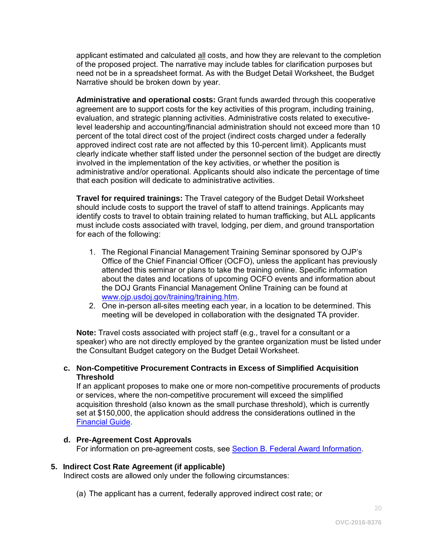applicant estimated and calculated all costs, and how they are relevant to the completion of the proposed project. The narrative may include tables for clarification purposes but need not be in a spreadsheet format. As with the Budget Detail Worksheet, the Budget Narrative should be broken down by year.

**Administrative and operational costs:** Grant funds awarded through this cooperative agreement are to support costs for the key activities of this program, including training, evaluation, and strategic planning activities. Administrative costs related to executivelevel leadership and accounting/financial administration should not exceed more than 10 percent of the total direct cost of the project (indirect costs charged under a federally approved indirect cost rate are not affected by this 10-percent limit). Applicants must clearly indicate whether staff listed under the personnel section of the budget are directly involved in the implementation of the key activities, or whether the position is administrative and/or operational. Applicants should also indicate the percentage of time that each position will dedicate to administrative activities.

**Travel for required trainings:** The Travel category of the Budget Detail Worksheet should include costs to support the travel of staff to attend trainings. Applicants may identify costs to travel to obtain training related to human trafficking, but ALL applicants must include costs associated with travel, lodging, per diem, and ground transportation for each of the following:

- 1. The Regional Financial Management Training Seminar sponsored by OJP's Office of the Chief Financial Officer (OCFO), unless the applicant has previously attended this seminar or plans to take the training online. Specific information about the dates and locations of upcoming OCFO events and information about the DOJ Grants Financial Management Online Training can be found at [www.ojp.usdoj.gov/training/training.htm.](http://www.ojp.usdoj.gov/training/training.htm)
- 2. One in-person all-sites meeting each year, in a location to be determined. This meeting will be developed in collaboration with the designated TA provider.

**Note:** Travel costs associated with project staff (e.g., travel for a consultant or a speaker) who are not directly employed by the grantee organization must be listed under the Consultant Budget category on the Budget Detail Worksheet.

#### **c. Non-Competitive Procurement Contracts in Excess of Simplified Acquisition Threshold**

If an applicant proposes to make one or more non-competitive procurements of products or services, where the non-competitive procurement will exceed the simplified acquisition threshold (also known as the small purchase threshold), which is currently set at \$150,000, the application should address the considerations outlined in the [Financial Guide.](http://ojp.gov/financialguide/DOJ/index.htm)

#### **d. Pre-Agreement Cost Approvals**

For information on pre-agreement costs, see [Section B. Federal Award Information.](#page-8-0)

#### **5. Indirect Cost Rate Agreement (if applicable)**

Indirect costs are allowed only under the following circumstances:

(a) The applicant has a current, federally approved indirect cost rate; or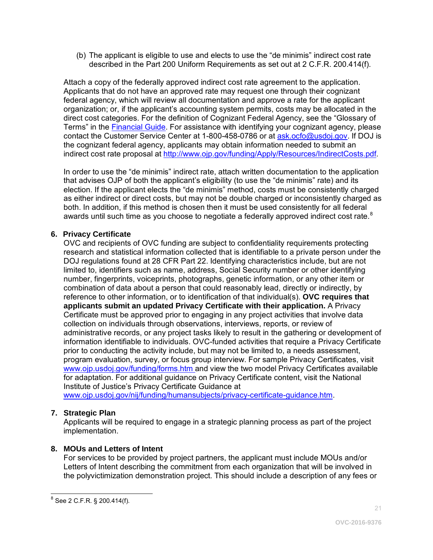(b) The applicant is eligible to use and elects to use the "de minimis" indirect cost rate described in the Part 200 Uniform Requirements as set out at 2 C.F.R. 200.414(f).

Attach a copy of the federally approved indirect cost rate agreement to the application. Applicants that do not have an approved rate may request one through their cognizant federal agency, which will review all documentation and approve a rate for the applicant organization; or, if the applicant's accounting system permits, costs may be allocated in the direct cost categories. For the definition of Cognizant Federal Agency, see the "Glossary of Terms" in the **Financial Guide**. For assistance with identifying your cognizant agency, please contact the Customer Service Center at 1-800-458-0786 or at [ask.ocfo@usdoj.gov.](mailto:ask.ocfo@usdoj.gov) If DOJ is the cognizant federal agency, applicants may obtain information needed to submit an indirect cost rate proposal at [http://www.ojp.gov/funding/Apply/Resources/IndirectCosts.pdf.](http://www.ojp.gov/funding/Apply/Resources/IndirectCosts.pdf)

In order to use the "de minimis" indirect rate, attach written documentation to the application that advises OJP of both the applicant's eligibility (to use the "de minimis" rate) and its election. If the applicant elects the "de minimis" method, costs must be consistently charged as either indirect or direct costs, but may not be double charged or inconsistently charged as both. In addition, if this method is chosen then it must be used consistently for all federal awards until such time as you choose to negotiate a federally approved indirect cost rate.<sup>[8](#page-20-0)</sup>

#### **6. Privacy Certificate**

OVC and recipients of OVC funding are subject to confidentiality requirements protecting research and statistical information collected that is identifiable to a private person under the DOJ regulations found at 28 CFR Part 22. Identifying characteristics include, but are not limited to, identifiers such as name, address, Social Security number or other identifying number, fingerprints, voiceprints, photographs, genetic information, or any other item or combination of data about a person that could reasonably lead, directly or indirectly, by reference to other information, or to identification of that individual(s). **OVC requires that applicants submit an updated Privacy Certificate with their application.** A Privacy Certificate must be approved prior to engaging in any project activities that involve data collection on individuals through observations, interviews, reports, or review of administrative records, or any project tasks likely to result in the gathering or development of information identifiable to individuals. OVC-funded activities that require a Privacy Certificate prior to conducting the activity include, but may not be limited to, a needs assessment, program evaluation, survey, or focus group interview. For sample Privacy Certificates, visit [www.ojp.usdoj.gov/funding/forms.htm a](http://www.ojp.usdoj.gov/funding/forms.htm)nd view the two model Privacy Certificates available for adaptation. For additional guidance on Privacy Certificate content, visit the National Institute of Justice's Privacy Certificate Guidance at

[www.ojp.usdoj.gov/nij/funding/humansubjects/privacy-certificate-guidance.htm.](http://www.ojp.usdoj.gov/nij/funding/humansubjects/privacy-certificate-guidance.htm)

#### **7. Strategic Plan**

Applicants will be required to engage in a strategic planning process as part of the project implementation.

#### **8. MOUs and Letters of Intent**

For services to be provided by project partners, the applicant must include MOUs and/or Letters of Intent describing the commitment from each organization that will be involved in the polyvictimization demonstration project. This should include a description of any fees or

<span id="page-20-0"></span> $\overline{a}$  $^8$  See 2 C.F.R. § 200.414(f).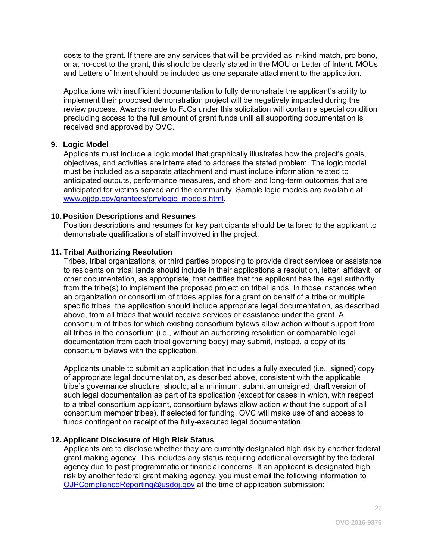costs to the grant. If there are any services that will be provided as in-kind match, pro bono, or at no-cost to the grant, this should be clearly stated in the MOU or Letter of Intent. MOUs and Letters of Intent should be included as one separate attachment to the application.

Applications with insufficient documentation to fully demonstrate the applicant's ability to implement their proposed demonstration project will be negatively impacted during the review process. Awards made to FJCs under this solicitation will contain a special condition precluding access to the full amount of grant funds until all supporting documentation is received and approved by OVC.

#### **9. Logic Model**

Applicants must include a logic model that graphically illustrates how the project's goals, objectives, and activities are interrelated to address the stated problem. The logic model must be included as a separate attachment and must include information related to anticipated outputs, performance measures, and short- and long-term outcomes that are anticipated for victims served and the community. Sample logic models are available at [www.ojjdp.gov/grantees/pm/logic\\_models.html.](http://www.ojjdp.gov/grantees/pm/logic_models.html)

#### **10.Position Descriptions and Resumes**

Position descriptions and resumes for key participants should be tailored to the applicant to demonstrate qualifications of staff involved in the project.

#### **11. Tribal Authorizing Resolution**

Tribes, tribal organizations, or third parties proposing to provide direct services or assistance to residents on tribal lands should include in their applications a resolution, letter, affidavit, or other documentation, as appropriate, that certifies that the applicant has the legal authority from the tribe(s) to implement the proposed project on tribal lands. In those instances when an organization or consortium of tribes applies for a grant on behalf of a tribe or multiple specific tribes, the application should include appropriate legal documentation, as described above, from all tribes that would receive services or assistance under the grant. A consortium of tribes for which existing consortium bylaws allow action without support from all tribes in the consortium (i.e., without an authorizing resolution or comparable legal documentation from each tribal governing body) may submit, instead, a copy of its consortium bylaws with the application.

Applicants unable to submit an application that includes a fully executed (i.e., signed) copy of appropriate legal documentation, as described above, consistent with the applicable tribe's governance structure, should, at a minimum, submit an unsigned, draft version of such legal documentation as part of its application (except for cases in which, with respect to a tribal consortium applicant, consortium bylaws allow action without the support of all consortium member tribes). If selected for funding, OVC will make use of and access to funds contingent on receipt of the fully-executed legal documentation.

#### **12. Applicant Disclosure of High Risk Status**

Applicants are to disclose whether they are currently designated high risk by another federal grant making agency. This includes any status requiring additional oversight by the federal agency due to past programmatic or financial concerns. If an applicant is designated high risk by another federal grant making agency, you must email the following information to [OJPComplianceReporting@usdoj.gov](mailto:OJPComplianceReporting@usdoj.gov) at the time of application submission: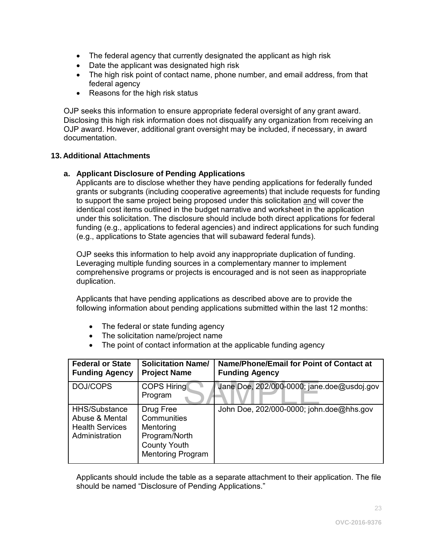- The federal agency that currently designated the applicant as high risk
- Date the applicant was designated high risk
- The high risk point of contact name, phone number, and email address, from that federal agency
- Reasons for the high risk status

OJP seeks this information to ensure appropriate federal oversight of any grant award. Disclosing this high risk information does not disqualify any organization from receiving an OJP award. However, additional grant oversight may be included, if necessary, in award documentation.

#### **13. Additional Attachments**

#### **a. Applicant Disclosure of Pending Applications**

Applicants are to disclose whether they have pending applications for federally funded grants or subgrants (including cooperative agreements) that include requests for funding to support the same project being proposed under this solicitation and will cover the identical cost items outlined in the budget narrative and worksheet in the application under this solicitation. The disclosure should include both direct applications for federal funding (e.g., applications to federal agencies) and indirect applications for such funding (e.g., applications to State agencies that will subaward federal funds).

OJP seeks this information to help avoid any inappropriate duplication of funding. Leveraging multiple funding sources in a complementary manner to implement comprehensive programs or projects is encouraged and is not seen as inappropriate duplication.

Applicants that have pending applications as described above are to provide the following information about pending applications submitted within the last 12 months:

- The federal or state funding agency
- The solicitation name/project name
- The point of contact information at the applicable funding agency

| <b>Federal or State</b><br><b>Funding Agency</b>                            | <b>Solicitation Name/</b><br><b>Project Name</b>                                                          | Name/Phone/Email for Point of Contact at<br><b>Funding Agency</b> |
|-----------------------------------------------------------------------------|-----------------------------------------------------------------------------------------------------------|-------------------------------------------------------------------|
| DOJ/COPS                                                                    | <b>COPS Hiring</b><br>Program                                                                             | Jane Doe, 202/000-0000; jane.doe@usdoj.gov                        |
| HHS/Substance<br>Abuse & Mental<br><b>Health Services</b><br>Administration | Drug Free<br>Communities<br>Mentoring<br>Program/North<br><b>County Youth</b><br><b>Mentoring Program</b> | John Doe, 202/000-0000; john.doe@hhs.gov                          |

Applicants should include the table as a separate attachment to their application. The file should be named "Disclosure of Pending Applications."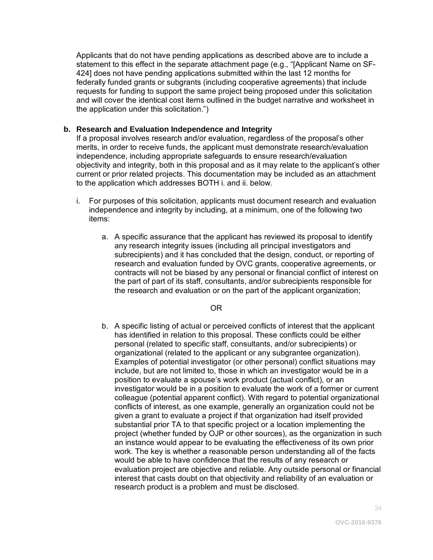Applicants that do not have pending applications as described above are to include a statement to this effect in the separate attachment page (e.g., "[Applicant Name on SF-424] does not have pending applications submitted within the last 12 months for federally funded grants or subgrants (including cooperative agreements) that include requests for funding to support the same project being proposed under this solicitation and will cover the identical cost items outlined in the budget narrative and worksheet in the application under this solicitation.")

#### **b. Research and Evaluation Independence and Integrity**

If a proposal involves research and/or evaluation, regardless of the proposal's other merits, in order to receive funds, the applicant must demonstrate research/evaluation independence, including appropriate safeguards to ensure research/evaluation objectivity and integrity, both in this proposal and as it may relate to the applicant's other current or prior related projects. This documentation may be included as an attachment to the application which addresses BOTH i. and ii. below.

- i. For purposes of this solicitation, applicants must document research and evaluation independence and integrity by including, at a minimum, one of the following two items:
	- a. A specific assurance that the applicant has reviewed its proposal to identify any research integrity issues (including all principal investigators and subrecipients) and it has concluded that the design, conduct, or reporting of research and evaluation funded by OVC grants, cooperative agreements, or contracts will not be biased by any personal or financial conflict of interest on the part of part of its staff, consultants, and/or subrecipients responsible for the research and evaluation or on the part of the applicant organization;

OR

b. A specific listing of actual or perceived conflicts of interest that the applicant has identified in relation to this proposal. These conflicts could be either personal (related to specific staff, consultants, and/or subrecipients) or organizational (related to the applicant or any subgrantee organization). Examples of potential investigator (or other personal) conflict situations may include, but are not limited to, those in which an investigator would be in a position to evaluate a spouse's work product (actual conflict), or an investigator would be in a position to evaluate the work of a former or current colleague (potential apparent conflict). With regard to potential organizational conflicts of interest, as one example, generally an organization could not be given a grant to evaluate a project if that organization had itself provided substantial prior TA to that specific project or a location implementing the project (whether funded by OJP or other sources), as the organization in such an instance would appear to be evaluating the effectiveness of its own prior work. The key is whether a reasonable person understanding all of the facts would be able to have confidence that the results of any research or evaluation project are objective and reliable. Any outside personal or financial interest that casts doubt on that objectivity and reliability of an evaluation or research product is a problem and must be disclosed.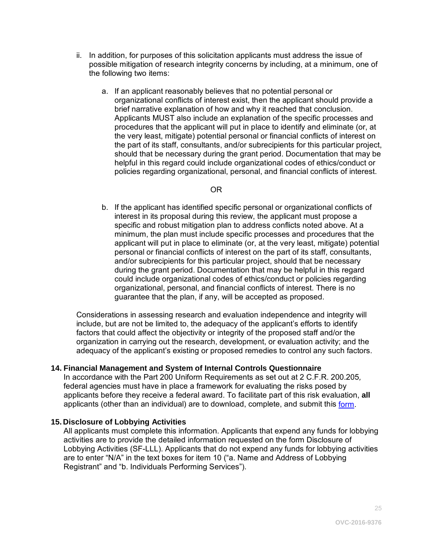- ii. In addition, for purposes of this solicitation applicants must address the issue of possible mitigation of research integrity concerns by including, at a minimum, one of the following two items:
	- a. If an applicant reasonably believes that no potential personal or organizational conflicts of interest exist, then the applicant should provide a brief narrative explanation of how and why it reached that conclusion. Applicants MUST also include an explanation of the specific processes and procedures that the applicant will put in place to identify and eliminate (or, at the very least, mitigate) potential personal or financial conflicts of interest on the part of its staff, consultants, and/or subrecipients for this particular project, should that be necessary during the grant period. Documentation that may be helpful in this regard could include organizational codes of ethics/conduct or policies regarding organizational, personal, and financial conflicts of interest.

#### OR

b. If the applicant has identified specific personal or organizational conflicts of interest in its proposal during this review, the applicant must propose a specific and robust mitigation plan to address conflicts noted above. At a minimum, the plan must include specific processes and procedures that the applicant will put in place to eliminate (or, at the very least, mitigate) potential personal or financial conflicts of interest on the part of its staff, consultants, and/or subrecipients for this particular project, should that be necessary during the grant period. Documentation that may be helpful in this regard could include organizational codes of ethics/conduct or policies regarding organizational, personal, and financial conflicts of interest. There is no guarantee that the plan, if any, will be accepted as proposed.

Considerations in assessing research and evaluation independence and integrity will include, but are not be limited to, the adequacy of the applicant's efforts to identify factors that could affect the objectivity or integrity of the proposed staff and/or the organization in carrying out the research, development, or evaluation activity; and the adequacy of the applicant's existing or proposed remedies to control any such factors.

#### **14. Financial Management and System of Internal Controls Questionnaire**

In accordance with the Part 200 Uniform Requirements as set out at 2 C.F.R. 200.205*,* federal agencies must have in place a framework for evaluating the risks posed by applicants before they receive a federal award. To facilitate part of this risk evaluation, **all** applicants (other than an individual) are to download, complete, and submit this [form.](http://ojp.gov/funding/Apply/Resources/FinancialCapability.pdf)

#### **15. Disclosure of Lobbying Activities**

All applicants must complete this information. Applicants that expend any funds for lobbying activities are to provide the detailed information requested on the form Disclosure of Lobbying Activities (SF-LLL). Applicants that do not expend any funds for lobbying activities are to enter "N/A" in the text boxes for item 10 ("a. Name and Address of Lobbying Registrant" and "b. Individuals Performing Services").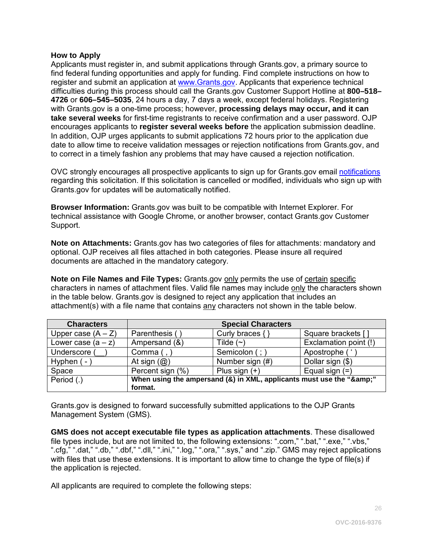#### <span id="page-25-0"></span>**How to Apply**

Applicants must register in, and submit applications through Grants.gov, a primary source to find federal funding opportunities and apply for funding. Find complete instructions on how to register and submit an application at [www.Grants.gov.](http://www.grants.gov/) Applicants that experience technical difficulties during this process should call the Grants.gov Customer Support Hotline at **800–518– 4726** or **606–545–5035**, 24 hours a day, 7 days a week, except federal holidays. Registering with Grants.gov is a one-time process; however, **processing delays may occur, and it can take several weeks** for first-time registrants to receive confirmation and a user password. OJP encourages applicants to **register several weeks before** the application submission deadline. In addition, OJP urges applicants to submit applications 72 hours prior to the application due date to allow time to receive validation messages or rejection notifications from Grants.gov, and to correct in a timely fashion any problems that may have caused a rejection notification.

OVC strongly encourages all prospective applicants to sign up for Grants.gov email [notifications](http://www.grants.gov/web/grants/manage-subscriptions.html) regarding this solicitation. If this solicitation is cancelled or modified, individuals who sign up with Grants.gov for updates will be automatically notified.

**Browser Information:** Grants.gov was built to be compatible with Internet Explorer. For technical assistance with Google Chrome, or another browser, contact Grants.gov Customer Support.

**Note on Attachments:** Grants.gov has two categories of files for attachments: mandatory and optional. OJP receives all files attached in both categories. Please insure all required documents are attached in the mandatory category.

**Note on File Names and File Types:** Grants.gov only permits the use of certain specific characters in names of attachment files. Valid file names may include only the characters shown in the table below. Grants.gov is designed to reject any application that includes an attachment(s) with a file name that contains any characters not shown in the table below.

| <b>Characters</b>    | <b>Special Characters</b>                                        |                     |                       |  |
|----------------------|------------------------------------------------------------------|---------------------|-----------------------|--|
| Upper case $(A - Z)$ | Parenthesis (                                                    | Curly braces $\{\}$ | Square brackets []    |  |
| Lower case $(a - z)$ | Ampersand (&)                                                    | Tilde $(\sim)$      | Exclamation point (!) |  |
| Underscore (         | Comma $($ , $)$                                                  | Semicolon (; )      | Apostrophe ('         |  |
| Hyphen (-            | At sign $(Q)$                                                    | Number sign (#)     | Dollar sign (\$)      |  |
| Space                | Percent sign (%)                                                 | Plus sign $(+)$     | Equal sign $(=)$      |  |
| Period (.)           | When using the ampersand (&) in XML, applicants must use the "&" |                     |                       |  |
|                      | format.                                                          |                     |                       |  |

Grants.gov is designed to forward successfully submitted applications to the OJP Grants Management System (GMS).

**GMS does not accept executable file types as application attachments**. These disallowed file types include, but are not limited to, the following extensions: ".com," ".bat," ".exe," ".vbs," ".cfg," ".dat," ".db," ".dbf," ".dll," ".ini," ".log," ".ora," ".sys," and ".zip." GMS may reject applications with files that use these extensions. It is important to allow time to change the type of file(s) if the application is rejected.

All applicants are required to complete the following steps: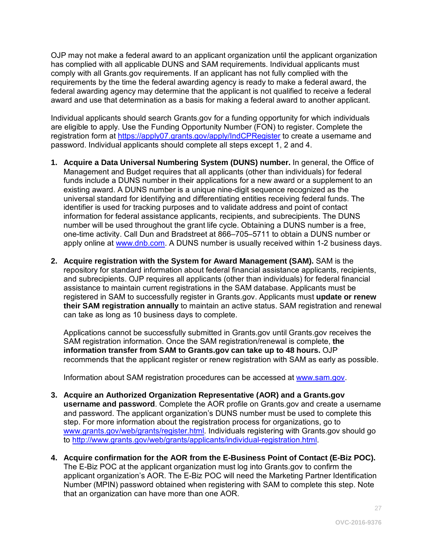OJP may not make a federal award to an applicant organization until the applicant organization has complied with all applicable DUNS and SAM requirements. Individual applicants must comply with all Grants.gov requirements. If an applicant has not fully complied with the requirements by the time the federal awarding agency is ready to make a federal award, the federal awarding agency may determine that the applicant is not qualified to receive a federal award and use that determination as a basis for making a federal award to another applicant.

Individual applicants should search Grants.gov for a funding opportunity for which individuals are eligible to apply. Use the Funding Opportunity Number (FON) to register. Complete the registration form at<https://apply07.grants.gov/apply/IndCPRegister> to create a username and password. Individual applicants should complete all steps except 1, 2 and 4.

- **1. Acquire a Data Universal Numbering System (DUNS) number.** In general, the Office of Management and Budget requires that all applicants (other than individuals) for federal funds include a DUNS number in their applications for a new award or a supplement to an existing award. A DUNS number is a unique nine-digit sequence recognized as the universal standard for identifying and differentiating entities receiving federal funds. The identifier is used for tracking purposes and to validate address and point of contact information for federal assistance applicants, recipients, and subrecipients. The DUNS number will be used throughout the grant life cycle. Obtaining a DUNS number is a free, one-time activity. Call Dun and Bradstreet at 866–705–5711 to obtain a DUNS number or apply online at [www.dnb.com.](http://www.dnb.com/) A DUNS number is usually received within 1-2 business days.
- **2. Acquire registration with the System for Award Management (SAM).** SAM is the repository for standard information about federal financial assistance applicants, recipients, and subrecipients. OJP requires all applicants (other than individuals) for federal financial assistance to maintain current registrations in the SAM database. Applicants must be registered in SAM to successfully register in Grants.gov. Applicants must **update or renew their SAM registration annually** to maintain an active status. SAM registration and renewal can take as long as 10 business days to complete.

Applications cannot be successfully submitted in Grants.gov until Grants.gov receives the SAM registration information. Once the SAM registration/renewal is complete, **the information transfer from SAM to Grants.gov can take up to 48 hours.** OJP recommends that the applicant register or renew registration with SAM as early as possible.

Information about SAM registration procedures can be accessed at [www.sam.gov.](https://www.sam.gov/portal/public/SAM/?portal:componentId=1f834b82-3fed-4eb3-a1f8-ea1f226a7955&portal:type=action&interactionstate=JBPNS_rO0ABXc0ABBfanNmQnJpZGdlVmlld0lkAAAAAQATL2pzZi9uYXZpZ2F0aW9uLmpzcAAHX19FT0ZfXw**)

- **3. Acquire an Authorized Organization Representative (AOR) and a Grants.gov username and password**. Complete the AOR profile on Grants.gov and create a username and password. The applicant organization's DUNS number must be used to complete this step. For more information about the registration process for organizations, go to [www.grants.gov/web/grants/register.html.](http://www.grants.gov/web/grants/register.html) Individuals registering with Grants.gov should go to [http://www.grants.gov/web/grants/applicants/individual-registration.html.](http://www.grants.gov/web/grants/applicants/individual-registration.html)
- **4. Acquire confirmation for the AOR from the E-Business Point of Contact (E-Biz POC).**  The E-Biz POC at the applicant organization must log into Grants.gov to confirm the applicant organization's AOR. The E-Biz POC will need the Marketing Partner Identification Number (MPIN) password obtained when registering with SAM to complete this step. Note that an organization can have more than one AOR.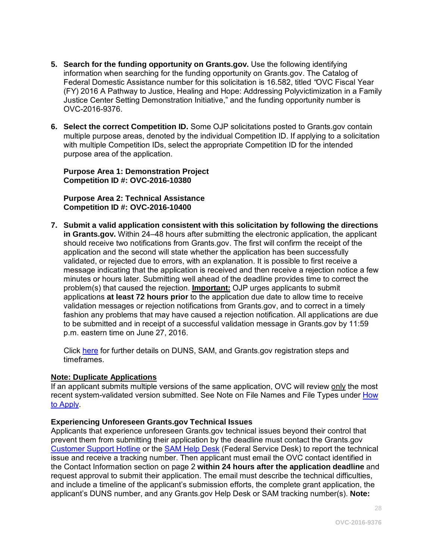- **5. Search for the funding opportunity on Grants.gov.** Use the following identifying information when searching for the funding opportunity on Grants.gov. The Catalog of Federal Domestic Assistance number for this solicitation is 16.582, titled *"*OVC Fiscal Year (FY) 2016 A Pathway to Justice, Healing and Hope: Addressing Polyvictimization in a Family Justice Center Setting Demonstration Initiative," and the funding opportunity number is OVC-2016-9376.
- **6. Select the correct Competition ID.** Some OJP solicitations posted to Grants.gov contain multiple purpose areas, denoted by the individual Competition ID. If applying to a solicitation with multiple Competition IDs, select the appropriate Competition ID for the intended purpose area of the application.

**Purpose Area 1: Demonstration Project Competition ID #: OVC-2016-10380**

**Purpose Area 2: Technical Assistance Competition ID #: OVC-2016-10400**

**7. Submit a valid application consistent with this solicitation by following the directions in Grants.gov.** Within 24–48 hours after submitting the electronic application, the applicant should receive two notifications from Grants.gov. The first will confirm the receipt of the application and the second will state whether the application has been successfully validated, or rejected due to errors, with an explanation. It is possible to first receive a message indicating that the application is received and then receive a rejection notice a few minutes or hours later. Submitting well ahead of the deadline provides time to correct the problem(s) that caused the rejection. **Important:** OJP urges applicants to submit applications **at least 72 hours prior** to the application due date to allow time to receive validation messages or rejection notifications from Grants.gov, and to correct in a timely fashion any problems that may have caused a rejection notification. All applications are due to be submitted and in receipt of a successful validation message in Grants.gov by 11:59 p.m. eastern time on June 27, 2016.

Click [here](http://www.grants.gov/web/grants/applicants/organization-registration.html) for further details on DUNS, SAM, and Grants.gov registration steps and timeframes.

#### **Note: Duplicate Applications**

If an applicant submits multiple versions of the same application, OVC will review only the most recent system-validated version submitted. See Note on File Names and File Types under How [to Apply.](#page-25-0)

#### **Experiencing Unforeseen Grants.gov Technical Issues**

Applicants that experience unforeseen Grants.gov technical issues beyond their control that prevent them from submitting their application by the deadline must contact the Grants.gov [Customer Support Hotline](http://www.grants.gov/web/grants/support.html) or the [SAM Help Desk](https://www.fsd.gov/fsd-gov/home.do) (Federal Service Desk) to report the technical issue and receive a tracking number. Then applicant must email the OVC contact identified in the Contact Information section on page 2 **within 24 hours after the application deadline** and request approval to submit their application. The email must describe the technical difficulties, and include a timeline of the applicant's submission efforts, the complete grant application, the applicant's DUNS number, and any Grants.gov Help Desk or SAM tracking number(s). **Note:**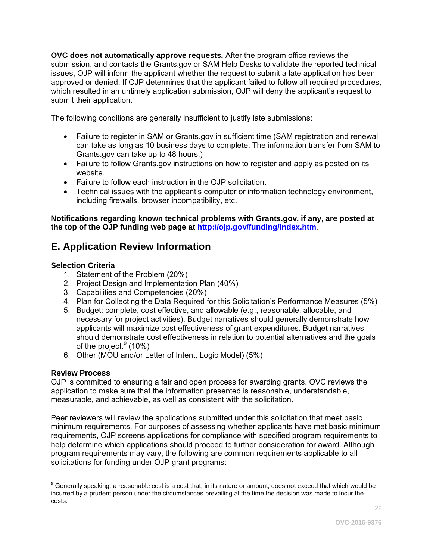**OVC does not automatically approve requests***.* After the program office reviews the submission, and contacts the Grants.gov or SAM Help Desks to validate the reported technical issues, OJP will inform the applicant whether the request to submit a late application has been approved or denied. If OJP determines that the applicant failed to follow all required procedures. which resulted in an untimely application submission, OJP will deny the applicant's request to submit their application.

The following conditions are generally insufficient to justify late submissions:

- Failure to register in SAM or Grants.gov in sufficient time (SAM registration and renewal can take as long as 10 business days to complete. The information transfer from SAM to Grants.gov can take up to 48 hours.)
- Failure to follow Grants.gov instructions on how to register and apply as posted on its website.
- Failure to follow each instruction in the OJP solicitation.
- Technical issues with the applicant's computer or information technology environment, including firewalls, browser incompatibility, etc.

**Notifications regarding known technical problems with Grants.gov, if any, are posted at the top of the OJP funding web page at <http://ojp.gov/funding/index.htm>**.

## <span id="page-28-0"></span>**E. Application Review Information**

#### <span id="page-28-1"></span>**Selection Criteria**

- 1. Statement of the Problem (20%)
- 2. Project Design and Implementation Plan (40%)
- 3. Capabilities and Competencies (20%)
- 4. Plan for Collecting the Data Required for this Solicitation's Performance Measures (5%)
- 5. Budget: complete, cost effective, and allowable (e.g., reasonable, allocable, and necessary for project activities). Budget narratives should generally demonstrate how applicants will maximize cost effectiveness of grant expenditures. Budget narratives should demonstrate cost effectiveness in relation to potential alternatives and the goals of the project.<sup>[9](#page-28-3)</sup> (10%)
- 6. Other (MOU and/or Letter of Intent, Logic Model) (5%)

#### <span id="page-28-2"></span>**Review Process**

OJP is committed to ensuring a fair and open process for awarding grants. OVC reviews the application to make sure that the information presented is reasonable, understandable, measurable, and achievable, as well as consistent with the solicitation.

Peer reviewers will review the applications submitted under this solicitation that meet basic minimum requirements. For purposes of assessing whether applicants have met basic minimum requirements, OJP screens applications for compliance with specified program requirements to help determine which applications should proceed to further consideration for award. Although program requirements may vary, the following are common requirements applicable to all solicitations for funding under OJP grant programs:

<span id="page-28-3"></span> $\overline{a}$  $^9$  Generally speaking, a reasonable cost is a cost that, in its nature or amount, does not exceed that which would be incurred by a prudent person under the circumstances prevailing at the time the decision was made to incur the costs.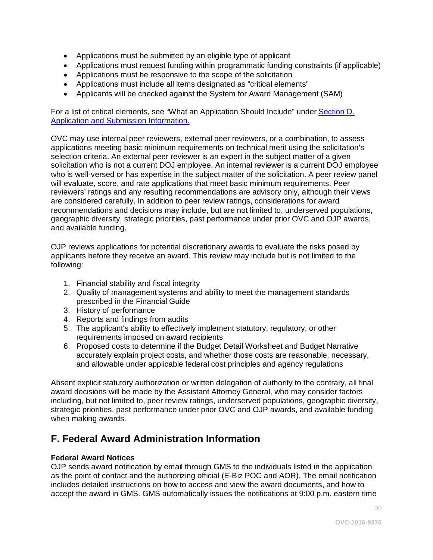- <span id="page-29-0"></span>• Applications must be submitted by an eligible type of applicant
- Applications must request funding within programmatic funding constraints (if applicable)
- Applications must be responsive to the scope of the solicitation
- Applications must include all items designated as "critical elements"
- Applicants will be checked against the System for Award Management (SAM)

For a list of critical elements, see "What an Application Should Include" under **Section D.** Application and Submission Information.

OVC may use internal peer reviewers, external peer reviewers, or a combination, to assess applications meeting basic minimum requirements on technical merit using the solicitation's selection criteria. An external peer reviewer is an expert in the subject matter of a given solicitation who is not a current DOJ employee. An internal reviewer is a current DOJ employee who is well-versed or has expertise in the subject matter of the solicitation. A peer review panel will evaluate, score, and rate applications that meet basic minimum requirements. Peer reviewers' ratings and any resulting recommendations are advisory only, although their views are considered carefully. In addition to peer review ratings, considerations for award recommendations and decisions may include, but are not limited to, underserved populations, geographic diversity, strategic priorities, past performance under prior OVC and OJP awards, and available funding.

OJP reviews applications for potential discretionary awards to evaluate the risks posed by applicants before they receive an award. This review may include but is not limited to the following:

- 1. Financial stability and fiscal integrity
- 2. Quality of management systems and ability to meet the management standards prescribed in the Financial Guide
- 3. History of performance
- 4. Reports and findings from audits
- 5. The applicant's ability to effectively implement statutory, regulatory, or other requirements imposed on award recipients
- 6. Proposed costs to determine if the Budget Detail Worksheet and Budget Narrative accurately explain project costs, and whether those costs are reasonable, necessary, and allowable under applicable federal cost principles and agency regulations

Absent explicit statutory authorization or written delegation of authority to the contrary, all final award decisions will be made by the Assistant Attorney General, who may consider factors including, but not limited to, peer review ratings, underserved populations, geographic diversity, strategic priorities, past performance under prior OVC and OJP awards, and available funding when making awards.

## **F. Federal Award Administration Information**

#### **Federal Award Notices**

OJP sends award notification by email through GMS to the individuals listed in the application as the point of contact and the authorizing official (E-Biz POC and AOR). The email notification includes detailed instructions on how to access and view the award documents, and how to accept the award in GMS. GMS automatically issues the notifications at 9:00 p.m. eastern time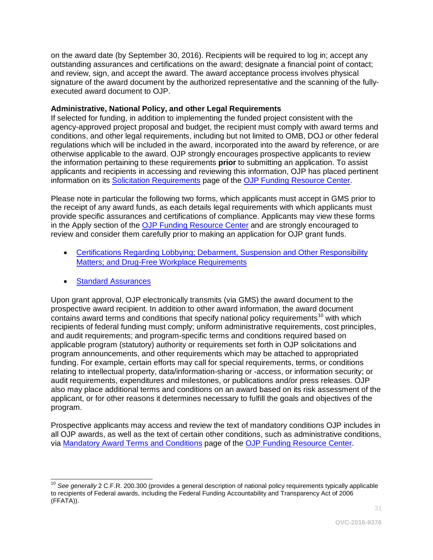<span id="page-30-0"></span>on the award date (by September 30, 2016). Recipients will be required to log in; accept any outstanding assurances and certifications on the award; designate a financial point of contact; and review, sign, and accept the award. The award acceptance process involves physical signature of the award document by the authorized representative and the scanning of the fullyexecuted award document to OJP.

#### **Administrative, National Policy, and other Legal Requirements**

If selected for funding, in addition to implementing the funded project consistent with the agency-approved project proposal and budget, the recipient must comply with award terms and conditions, and other legal requirements, including but not limited to OMB, DOJ or other federal regulations which will be included in the award, incorporated into the award by reference, or are otherwise applicable to the award. OJP strongly encourages prospective applicants to review the information pertaining to these requirements **prior** to submitting an application. To assist applicants and recipients in accessing and reviewing this information, OJP has placed pertinent information on its [Solicitation Requirements](http://ojp.gov/funding/Explore/SolicitationRequirements/index.htm) page of the [OJP Funding Resource Center.](http://ojp.gov/funding/index.htm)

Please note in particular the following two forms, which applicants must accept in GMS prior to the receipt of any award funds, as each details legal requirements with which applicants must provide specific assurances and certifications of compliance. Applicants may view these forms in the Apply section of the [OJP Funding Resource Center](http://ojp.gov/funding/index.htm) and are strongly encouraged to review and consider them carefully prior to making an application for OJP grant funds.

- Certifications Regarding Lobbying; Debarment, Suspension and Other Responsibility [Matters; and Drug-Free Workplace Requirements](http://ojp.gov/funding/Apply/Resources/Certifications.pdf)
- **Standard Assurances**

Upon grant approval, OJP electronically transmits (via GMS) the award document to the prospective award recipient. In addition to other award information, the award document contains award terms and conditions that specify national policy requirements<sup>[10](#page-30-1)</sup> with which recipients of federal funding must comply; uniform administrative requirements, cost principles, and audit requirements; and program-specific terms and conditions required based on applicable program (statutory) authority or requirements set forth in OJP solicitations and program announcements, and other requirements which may be attached to appropriated funding. For example, certain efforts may call for special requirements, terms, or conditions relating to intellectual property, data/information-sharing or -access, or information security; or audit requirements, expenditures and milestones, or publications and/or press releases. OJP also may place additional terms and conditions on an award based on its risk assessment of the applicant, or for other reasons it determines necessary to fulfill the goals and objectives of the program.

Prospective applicants may access and review the text of mandatory conditions OJP includes in all OJP awards, as well as the text of certain other conditions, such as administrative conditions, via [Mandatory Award Terms and Conditions](http://ojp.gov/funding/Explore/SolicitationRequirements/MandatoryTermsConditions.htm) page of the [OJP Funding Resource Center.](http://ojp.gov/funding/index.htm)

<span id="page-30-1"></span> <sup>10</sup> See generally 2 C.F.R. 200.300 (provides a general description of national policy requirements typically applicable to recipients of Federal awards, including the Federal Funding Accountability and Transparency Act of 2006 (FFATA)).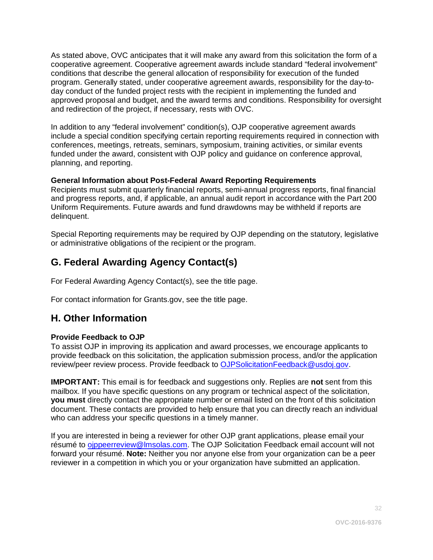<span id="page-31-0"></span>As stated above, OVC anticipates that it will make any award from this solicitation the form of a cooperative agreement. Cooperative agreement awards include standard "federal involvement" conditions that describe the general allocation of responsibility for execution of the funded program. Generally stated, under cooperative agreement awards, responsibility for the day-today conduct of the funded project rests with the recipient in implementing the funded and approved proposal and budget, and the award terms and conditions. Responsibility for oversight and redirection of the project, if necessary, rests with OVC.

In addition to any "federal involvement" condition(s), OJP cooperative agreement awards include a special condition specifying certain reporting requirements required in connection with conferences, meetings, retreats, seminars, symposium, training activities, or similar events funded under the award, consistent with OJP policy and guidance on conference approval, planning, and reporting.

#### **General Information about Post-Federal Award Reporting Requirements**

Recipients must submit quarterly financial reports, semi-annual progress reports, final financial and progress reports, and, if applicable, an annual audit report in accordance with the Part 200 Uniform Requirements. Future awards and fund drawdowns may be withheld if reports are delinquent.

Special Reporting requirements may be required by OJP depending on the statutory, legislative or administrative obligations of the recipient or the program.

## **G. Federal Awarding Agency Contact(s)**

For Federal Awarding Agency Contact(s), see the title page.

For contact information for Grants.gov, see the title page.

## **H. Other Information**

#### **Provide Feedback to OJP**

To assist OJP in improving its application and award processes, we encourage applicants to provide feedback on this solicitation, the application submission process, and/or the application review/peer review process. Provide feedback to [OJPSolicitationFeedback@usdoj.gov.](mailto:OJPSolicitationFeedback@usdoj.gov)

**IMPORTANT:** This email is for feedback and suggestions only. Replies are **not** sent from this mailbox. If you have specific questions on any program or technical aspect of the solicitation, **you must** directly contact the appropriate number or email listed on the front of this solicitation document. These contacts are provided to help ensure that you can directly reach an individual who can address your specific questions in a timely manner.

If you are interested in being a reviewer for other OJP grant applications, please email your résumé to [ojppeerreview@lmsolas.com.](mailto:ojppeerreview@lmsolas.com) The OJP Solicitation Feedback email account will not forward your résumé. **Note:** Neither you nor anyone else from your organization can be a peer reviewer in a competition in which you or your organization have submitted an application.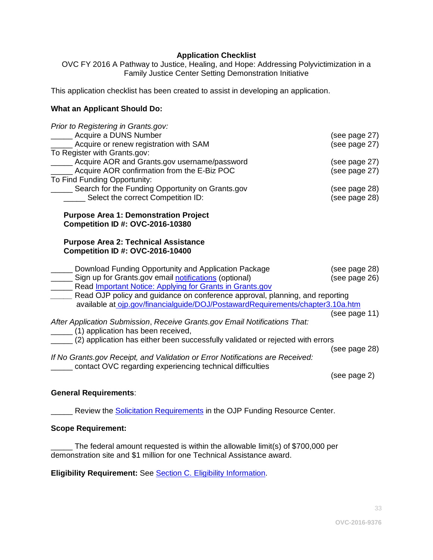#### **Application Checklist**

<span id="page-32-0"></span>OVC FY 2016 A Pathway to Justice, Healing, and Hope: Addressing Polyvictimization in a Family Justice Center Setting Demonstration Initiative

This application checklist has been created to assist in developing an application.

#### **What an Applicant Should Do:**

| Prior to Registering in Grants.gov:<br>______ Acquire a DUNS Number<br>Acquire or renew registration with SAM<br>To Register with Grants.gov:<br>Acquire AOR and Grants.gov username/password | (see page 27)<br>(see page 27)<br>(see page 27) |
|-----------------------------------------------------------------------------------------------------------------------------------------------------------------------------------------------|-------------------------------------------------|
| __ Acquire AOR confirmation from the E-Biz POC<br>To Find Funding Opportunity:                                                                                                                | (see page 27)                                   |
| ____ Search for the Funding Opportunity on Grants.gov<br>__ Select the correct Competition ID:                                                                                                | (see page 28)<br>(see page 28)                  |
| <b>Purpose Area 1: Demonstration Project</b><br><b>Competition ID #: OVC-2016-10380</b>                                                                                                       |                                                 |
| <b>Purpose Area 2: Technical Assistance</b><br><b>Competition ID #: OVC-2016-10400</b>                                                                                                        |                                                 |
| Download Funding Opportunity and Application Package<br>Sign up for Grants.gov email <b>notifications</b> (optional)<br><b>Nead Important Notice: Applying for Grants in Grants.gov</b>       | (see page 28)<br>(see page 26)                  |
| Read OJP policy and guidance on conference approval, planning, and reporting<br>available at ojp.gov/financialguide/DOJ/PostawardRequirements/chapter3.10a.htm                                |                                                 |
| After Application Submission, Receive Grants.gov Email Notifications That:<br>(1) application has been received,                                                                              | (see page 11)                                   |
| (2) application has either been successfully validated or rejected with errors<br>If No Grants.gov Receipt, and Validation or Error Notifications are Received:                               | (see page 28)                                   |
| contact OVC regarding experiencing technical difficulties                                                                                                                                     | (see page 2)                                    |

#### **General Requirements**:

**\_\_\_\_\_** Review the **[Solicitation Requirements](http://ojp.gov/funding/Explore/SolicitationRequirements/index.htm)** in the OJP Funding Resource Center.

#### **Scope Requirement:**

\_\_\_\_\_ The federal amount requested is within the allowable limit(s) of \$700,000 per demonstration site and \$1 million for one Technical Assistance award.

**Eligibility Requirement:** See Section C. Eligibility Information.